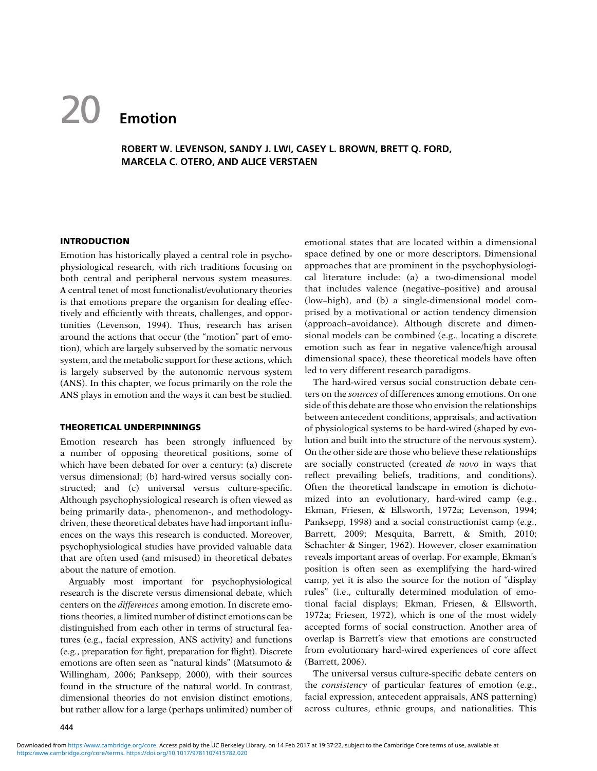# 20 Emotion

ROBERT W. LEVENSON, SANDY J. LWI, CASEY L. BROWN, BRETT Q. FORD, MARCELA C. OTERO, AND ALICE VERSTAEN

## INTRODUCTION

Emotion has historically played a central role in psychophysiological research, with rich traditions focusing on both central and peripheral nervous system measures. A central tenet of most functionalist/evolutionary theories is that emotions prepare the organism for dealing effectively and efficiently with threats, challenges, and opportunities (Levenson, 1994). Thus, research has arisen around the actions that occur (the "motion" part of emotion), which are largely subserved by the somatic nervous system, and the metabolic support for these actions, which is largely subserved by the autonomic nervous system (ANS). In this chapter, we focus primarily on the role the ANS plays in emotion and the ways it can best be studied.

## THEORETICAL UNDERPINNINGS

Emotion research has been strongly influenced by a number of opposing theoretical positions, some of which have been debated for over a century: (a) discrete versus dimensional; (b) hard-wired versus socially constructed; and (c) universal versus culture-specific. Although psychophysiological research is often viewed as being primarily data-, phenomenon-, and methodologydriven, these theoretical debates have had important influences on the ways this research is conducted. Moreover, psychophysiological studies have provided valuable data that are often used (and misused) in theoretical debates about the nature of emotion.

Arguably most important for psychophysiological research is the discrete versus dimensional debate, which centers on the differences among emotion. In discrete emotions theories, a limited number of distinct emotions can be distinguished from each other in terms of structural features (e.g., facial expression, ANS activity) and functions (e.g., preparation for fight, preparation for flight). Discrete emotions are often seen as "natural kinds" (Matsumoto & Willingham, 2006; Panksepp, 2000), with their sources found in the structure of the natural world. In contrast, dimensional theories do not envision distinct emotions, but rather allow for a large (perhaps unlimited) number of emotional states that are located within a dimensional space defined by one or more descriptors. Dimensional approaches that are prominent in the psychophysiological literature include: (a) a two-dimensional model that includes valence (negative–positive) and arousal (low–high), and (b) a single-dimensional model comprised by a motivational or action tendency dimension (approach–avoidance). Although discrete and dimensional models can be combined (e.g., locating a discrete emotion such as fear in negative valence/high arousal dimensional space), these theoretical models have often led to very different research paradigms.

The hard-wired versus social construction debate centers on the sources of differences among emotions. On one side of this debate are those who envision the relationships between antecedent conditions, appraisals, and activation of physiological systems to be hard-wired (shaped by evolution and built into the structure of the nervous system). On the other side are those who believe these relationships are socially constructed (created de novo in ways that reflect prevailing beliefs, traditions, and conditions). Often the theoretical landscape in emotion is dichotomized into an evolutionary, hard-wired camp (e.g., Ekman, Friesen, & Ellsworth, 1972a; Levenson, 1994; Panksepp, 1998) and a social constructionist camp (e.g., Barrett, 2009; Mesquita, Barrett, & Smith, 2010; Schachter & Singer, 1962). However, closer examination reveals important areas of overlap. For example, Ekman's position is often seen as exemplifying the hard-wired camp, yet it is also the source for the notion of "display rules" (i.e., culturally determined modulation of emotional facial displays; Ekman, Friesen, & Ellsworth, 1972a; Friesen, 1972), which is one of the most widely accepted forms of social construction. Another area of overlap is Barrett's view that emotions are constructed from evolutionary hard-wired experiences of core affect (Barrett, 2006).

The universal versus culture-specific debate centers on the consistency of particular features of emotion (e.g., facial expression, antecedent appraisals, ANS patterning) across cultures, ethnic groups, and nationalities. This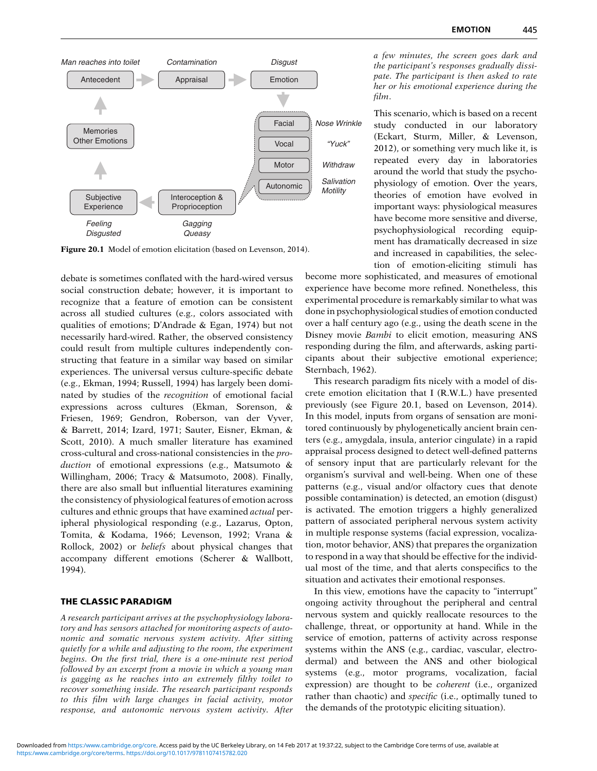

Figure 20.1 Model of emotion elicitation (based on Levenson, 2014).

debate is sometimes conflated with the hard-wired versus social construction debate; however, it is important to recognize that a feature of emotion can be consistent across all studied cultures (e.g., colors associated with qualities of emotions; D'Andrade & Egan, 1974) but not necessarily hard-wired. Rather, the observed consistency could result from multiple cultures independently constructing that feature in a similar way based on similar experiences. The universal versus culture-specific debate (e.g., Ekman, 1994; Russell, 1994) has largely been dominated by studies of the recognition of emotional facial expressions across cultures (Ekman, Sorenson, & Friesen, 1969; Gendron, Roberson, van der Vyver, & Barrett, 2014; Izard, 1971; Sauter, Eisner, Ekman, & Scott, 2010). A much smaller literature has examined cross-cultural and cross-national consistencies in the production of emotional expressions (e.g., Matsumoto & Willingham, 2006; Tracy & Matsumoto, 2008). Finally, there are also small but influential literatures examining the consistency of physiological features of emotion across cultures and ethnic groups that have examined actual peripheral physiological responding (e.g., Lazarus, Opton, Tomita, & Kodama, 1966; Levenson, 1992; Vrana & Rollock, 2002) or beliefs about physical changes that accompany different emotions (Scherer & Wallbott, 1994).

## THE CLASSIC PARADIGM

A research participant arrives at the psychophysiology laboratory and has sensors attached for monitoring aspects of autonomic and somatic nervous system activity. After sitting quietly for a while and adjusting to the room, the experiment begins. On the first trial, there is a one-minute rest period followed by an excerpt from a movie in which a young man is gagging as he reaches into an extremely filthy toilet to recover something inside. The research participant responds to this film with large changes in facial activity, motor response, and autonomic nervous system activity. After

a few minutes, the screen goes dark and the participant's responses gradually dissipate. The participant is then asked to rate her or his emotional experience during the film.

This scenario, which is based on a recent study conducted in our laboratory (Eckart, Sturm, Miller, & Levenson, 2012), or something very much like it, is repeated every day in laboratories around the world that study the psychophysiology of emotion. Over the years, theories of emotion have evolved in important ways: physiological measures have become more sensitive and diverse, psychophysiological recording equipment has dramatically decreased in size and increased in capabilities, the selection of emotion-eliciting stimuli has

become more sophisticated, and measures of emotional experience have become more refined. Nonetheless, this experimental procedure is remarkably similar to what was done in psychophysiological studies of emotion conducted over a half century ago (e.g., using the death scene in the Disney movie Bambi to elicit emotion, measuring ANS responding during the film, and afterwards, asking participants about their subjective emotional experience; Sternbach, 1962).

This research paradigm fits nicely with a model of discrete emotion elicitation that I (R.W.L.) have presented previously (see Figure 20.1, based on Levenson, 2014). In this model, inputs from organs of sensation are monitored continuously by phylogenetically ancient brain centers (e.g., amygdala, insula, anterior cingulate) in a rapid appraisal process designed to detect well-defined patterns of sensory input that are particularly relevant for the organism's survival and well-being. When one of these patterns (e.g., visual and/or olfactory cues that denote possible contamination) is detected, an emotion (disgust) is activated. The emotion triggers a highly generalized pattern of associated peripheral nervous system activity in multiple response systems (facial expression, vocalization, motor behavior, ANS) that prepares the organization to respond in a way that should be effective for the individual most of the time, and that alerts conspecifics to the situation and activates their emotional responses.

In this view, emotions have the capacity to "interrupt" ongoing activity throughout the peripheral and central nervous system and quickly reallocate resources to the challenge, threat, or opportunity at hand. While in the service of emotion, patterns of activity across response systems within the ANS (e.g., cardiac, vascular, electrodermal) and between the ANS and other biological systems (e.g., motor programs, vocalization, facial expression) are thought to be coherent (i.e., organized rather than chaotic) and specific (i.e., optimally tuned to the demands of the prototypic eliciting situation).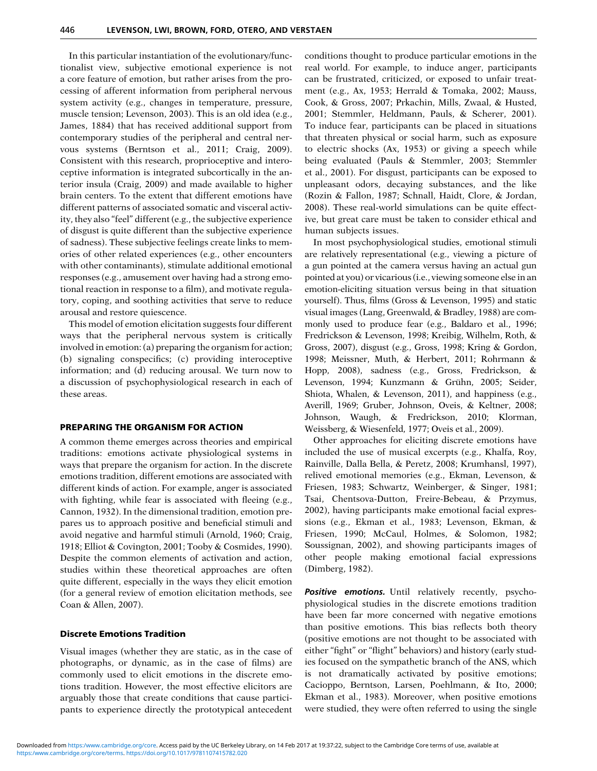In this particular instantiation of the evolutionary/functionalist view, subjective emotional experience is not a core feature of emotion, but rather arises from the processing of afferent information from peripheral nervous system activity (e.g., changes in temperature, pressure, muscle tension; Levenson, 2003). This is an old idea (e.g., James, 1884) that has received additional support from contemporary studies of the peripheral and central nervous systems (Berntson et al., 2011; Craig, 2009). Consistent with this research, proprioceptive and interoceptive information is integrated subcortically in the anterior insula (Craig, 2009) and made available to higher brain centers. To the extent that different emotions have different patterns of associated somatic and visceral activity, they also "feel" different (e.g., the subjective experience of disgust is quite different than the subjective experience of sadness). These subjective feelings create links to memories of other related experiences (e.g., other encounters with other contaminants), stimulate additional emotional responses (e.g., amusement over having had a strong emotional reaction in response to a film), and motivate regulatory, coping, and soothing activities that serve to reduce arousal and restore quiescence.

This model of emotion elicitation suggests four different ways that the peripheral nervous system is critically involved in emotion: (a) preparing the organism for action; (b) signaling conspecifics; (c) providing interoceptive information; and (d) reducing arousal. We turn now to a discussion of psychophysiological research in each of these areas.

## PREPARING THE ORGANISM FOR ACTION

A common theme emerges across theories and empirical traditions: emotions activate physiological systems in ways that prepare the organism for action. In the discrete emotions tradition, different emotions are associated with different kinds of action. For example, anger is associated with fighting, while fear is associated with fleeing (e.g., Cannon, 1932). In the dimensional tradition, emotion prepares us to approach positive and beneficial stimuli and avoid negative and harmful stimuli (Arnold, 1960; Craig, 1918; Elliot & Covington, 2001; Tooby & Cosmides, 1990). Despite the common elements of activation and action, studies within these theoretical approaches are often quite different, especially in the ways they elicit emotion (for a general review of emotion elicitation methods, see Coan & Allen, 2007).

#### Discrete Emotions Tradition

Visual images (whether they are static, as in the case of photographs, or dynamic, as in the case of films) are commonly used to elicit emotions in the discrete emotions tradition. However, the most effective elicitors are arguably those that create conditions that cause participants to experience directly the prototypical antecedent conditions thought to produce particular emotions in the real world. For example, to induce anger, participants can be frustrated, criticized, or exposed to unfair treatment (e.g., Ax, 1953; Herrald & Tomaka, 2002; Mauss, Cook, & Gross, 2007; Prkachin, Mills, Zwaal, & Husted, 2001; Stemmler, Heldmann, Pauls, & Scherer, 2001). To induce fear, participants can be placed in situations that threaten physical or social harm, such as exposure to electric shocks (Ax, 1953) or giving a speech while being evaluated (Pauls & Stemmler, 2003; Stemmler et al., 2001). For disgust, participants can be exposed to unpleasant odors, decaying substances, and the like (Rozin & Fallon, 1987; Schnall, Haidt, Clore, & Jordan, 2008). These real-world simulations can be quite effective, but great care must be taken to consider ethical and human subjects issues.

In most psychophysiological studies, emotional stimuli are relatively representational (e.g., viewing a picture of a gun pointed at the camera versus having an actual gun pointed at you) or vicarious (i.e., viewing someone else in an emotion-eliciting situation versus being in that situation yourself). Thus, films (Gross & Levenson, 1995) and static visual images (Lang, Greenwald, & Bradley, 1988) are commonly used to produce fear (e.g., Baldaro et al., 1996; Fredrickson & Levenson, 1998; Kreibig, Wilhelm, Roth, & Gross, 2007), disgust (e.g., Gross, 1998; Kring & Gordon, 1998; Meissner, Muth, & Herbert, 2011; Rohrmann & Hopp, 2008), sadness (e.g., Gross, Fredrickson, & Levenson, 1994; Kunzmann & Grühn, 2005; Seider, Shiota, Whalen, & Levenson, 2011), and happiness (e.g., Averill, 1969; Gruber, Johnson, Oveis, & Keltner, 2008; Johnson, Waugh, & Fredrickson, 2010; Klorman, Weissberg, & Wiesenfeld, 1977; Oveis et al., 2009).

Other approaches for eliciting discrete emotions have included the use of musical excerpts (e.g., Khalfa, Roy, Rainville, Dalla Bella, & Peretz, 2008; Krumhansl, 1997), relived emotional memories (e.g., Ekman, Levenson, & Friesen, 1983; Schwartz, Weinberger, & Singer, 1981; Tsai, Chentsova-Dutton, Freire-Bebeau, & Przymus, 2002), having participants make emotional facial expressions (e.g., Ekman et al., 1983; Levenson, Ekman, & Friesen, 1990; McCaul, Holmes, & Solomon, 1982; Soussignan, 2002), and showing participants images of other people making emotional facial expressions (Dimberg, 1982).

**Positive emotions.** Until relatively recently, psychophysiological studies in the discrete emotions tradition have been far more concerned with negative emotions than positive emotions. This bias reflects both theory (positive emotions are not thought to be associated with either "fight" or "flight" behaviors) and history (early studies focused on the sympathetic branch of the ANS, which is not dramatically activated by positive emotions; Cacioppo, Berntson, Larsen, Poehlmann, & Ito, 2000; Ekman et al., 1983). Moreover, when positive emotions were studied, they were often referred to using the single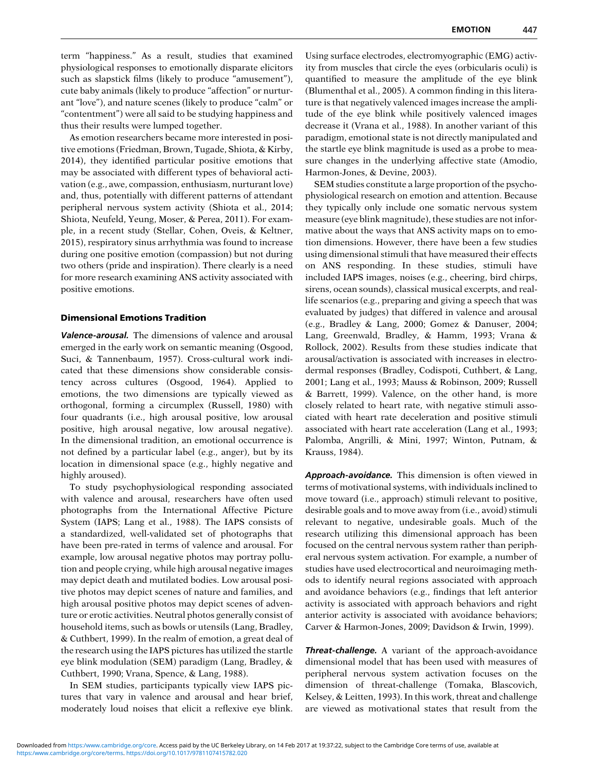term "happiness." As a result, studies that examined physiological responses to emotionally disparate elicitors such as slapstick films (likely to produce "amusement"), cute baby animals (likely to produce "affection" or nurturant "love"), and nature scenes (likely to produce "calm" or "contentment") were all said to be studying happiness and thus their results were lumped together.

As emotion researchers became more interested in positive emotions (Friedman, Brown, Tugade, Shiota, & Kirby, 2014), they identified particular positive emotions that may be associated with different types of behavioral activation (e.g., awe, compassion, enthusiasm, nurturant love) and, thus, potentially with different patterns of attendant peripheral nervous system activity (Shiota et al., 2014; Shiota, Neufeld, Yeung, Moser, & Perea, 2011). For example, in a recent study (Stellar, Cohen, Oveis, & Keltner, 2015), respiratory sinus arrhythmia was found to increase during one positive emotion (compassion) but not during two others (pride and inspiration). There clearly is a need for more research examining ANS activity associated with positive emotions.

## Dimensional Emotions Tradition

Valence-arousal. The dimensions of valence and arousal emerged in the early work on semantic meaning (Osgood, Suci, & Tannenbaum, 1957). Cross-cultural work indicated that these dimensions show considerable consistency across cultures (Osgood, 1964). Applied to emotions, the two dimensions are typically viewed as orthogonal, forming a circumplex (Russell, 1980) with four quadrants (i.e., high arousal positive, low arousal positive, high arousal negative, low arousal negative). In the dimensional tradition, an emotional occurrence is not defined by a particular label (e.g., anger), but by its location in dimensional space (e.g., highly negative and highly aroused).

To study psychophysiological responding associated with valence and arousal, researchers have often used photographs from the International Affective Picture System (IAPS; Lang et al., 1988). The IAPS consists of a standardized, well-validated set of photographs that have been pre-rated in terms of valence and arousal. For example, low arousal negative photos may portray pollution and people crying, while high arousal negative images may depict death and mutilated bodies. Low arousal positive photos may depict scenes of nature and families, and high arousal positive photos may depict scenes of adventure or erotic activities. Neutral photos generally consist of household items, such as bowls or utensils (Lang, Bradley, & Cuthbert, 1999). In the realm of emotion, a great deal of the research using the IAPS pictures has utilized the startle eye blink modulation (SEM) paradigm (Lang, Bradley, & Cuthbert, 1990; Vrana, Spence, & Lang, 1988).

In SEM studies, participants typically view IAPS pictures that vary in valence and arousal and hear brief, moderately loud noises that elicit a reflexive eye blink.

Using surface electrodes, electromyographic (EMG) activity from muscles that circle the eyes (orbicularis oculi) is quantified to measure the amplitude of the eye blink (Blumenthal et al., 2005). A common finding in this literature is that negatively valenced images increase the amplitude of the eye blink while positively valenced images decrease it (Vrana et al., 1988). In another variant of this paradigm, emotional state is not directly manipulated and the startle eye blink magnitude is used as a probe to measure changes in the underlying affective state (Amodio, Harmon-Jones, & Devine, 2003).

SEM studies constitute a large proportion of the psychophysiological research on emotion and attention. Because they typically only include one somatic nervous system measure (eye blink magnitude), these studies are not informative about the ways that ANS activity maps on to emotion dimensions. However, there have been a few studies using dimensional stimuli that have measured their effects on ANS responding. In these studies, stimuli have included IAPS images, noises (e.g., cheering, bird chirps, sirens, ocean sounds), classical musical excerpts, and reallife scenarios (e.g., preparing and giving a speech that was evaluated by judges) that differed in valence and arousal (e.g., Bradley & Lang, 2000; Gomez & Danuser, 2004; Lang, Greenwald, Bradley, & Hamm, 1993; Vrana & Rollock, 2002). Results from these studies indicate that arousal/activation is associated with increases in electrodermal responses (Bradley, Codispoti, Cuthbert, & Lang, 2001; Lang et al., 1993; Mauss & Robinson, 2009; Russell & Barrett, 1999). Valence, on the other hand, is more closely related to heart rate, with negative stimuli associated with heart rate deceleration and positive stimuli associated with heart rate acceleration (Lang et al., 1993; Palomba, Angrilli, & Mini, 1997; Winton, Putnam, & Krauss, 1984).

Approach-avoidance. This dimension is often viewed in terms of motivational systems, with individuals inclined to move toward (i.e., approach) stimuli relevant to positive, desirable goals and to move away from (i.e., avoid) stimuli relevant to negative, undesirable goals. Much of the research utilizing this dimensional approach has been focused on the central nervous system rather than peripheral nervous system activation. For example, a number of studies have used electrocortical and neuroimaging methods to identify neural regions associated with approach and avoidance behaviors (e.g., findings that left anterior activity is associated with approach behaviors and right anterior activity is associated with avoidance behaviors; Carver & Harmon-Jones, 2009; Davidson & Irwin, 1999).

Threat-challenge. A variant of the approach-avoidance dimensional model that has been used with measures of peripheral nervous system activation focuses on the dimension of threat-challenge (Tomaka, Blascovich, Kelsey, & Leitten, 1993). In this work, threat and challenge are viewed as motivational states that result from the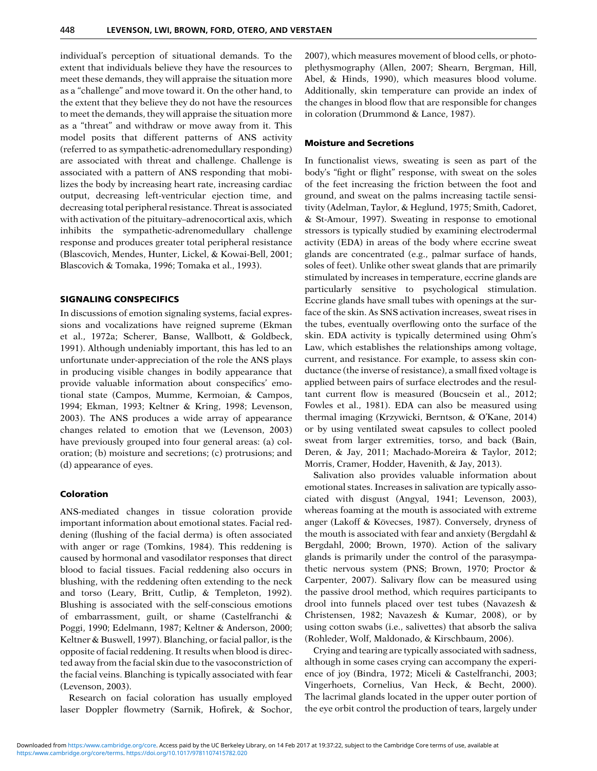individual's perception of situational demands. To the extent that individuals believe they have the resources to meet these demands, they will appraise the situation more as a "challenge" and move toward it. On the other hand, to the extent that they believe they do not have the resources to meet the demands, they will appraise the situation more as a "threat" and withdraw or move away from it. This model posits that different patterns of ANS activity (referred to as sympathetic-adrenomedullary responding) are associated with threat and challenge. Challenge is associated with a pattern of ANS responding that mobilizes the body by increasing heart rate, increasing cardiac output, decreasing left-ventricular ejection time, and decreasing total peripheral resistance. Threat is associated with activation of the pituitary–adrenocortical axis, which inhibits the sympathetic-adrenomedullary challenge response and produces greater total peripheral resistance (Blascovich, Mendes, Hunter, Lickel, & Kowai-Bell, 2001; Blascovich & Tomaka, 1996; Tomaka et al., 1993).

#### SIGNALING CONSPECIFICS

In discussions of emotion signaling systems, facial expressions and vocalizations have reigned supreme (Ekman et al., 1972a; Scherer, Banse, Wallbott, & Goldbeck, 1991). Although undeniably important, this has led to an unfortunate under-appreciation of the role the ANS plays in producing visible changes in bodily appearance that provide valuable information about conspecifics' emotional state (Campos, Mumme, Kermoian, & Campos, 1994; Ekman, 1993; Keltner & Kring, 1998; Levenson, 2003). The ANS produces a wide array of appearance changes related to emotion that we (Levenson, 2003) have previously grouped into four general areas: (a) coloration; (b) moisture and secretions; (c) protrusions; and (d) appearance of eyes.

## Coloration

ANS-mediated changes in tissue coloration provide important information about emotional states. Facial reddening (flushing of the facial derma) is often associated with anger or rage (Tomkins, 1984). This reddening is caused by hormonal and vasodilator responses that direct blood to facial tissues. Facial reddening also occurs in blushing, with the reddening often extending to the neck and torso (Leary, Britt, Cutlip, & Templeton, 1992). Blushing is associated with the self-conscious emotions of embarrassment, guilt, or shame (Castelfranchi & Poggi, 1990; Edelmann, 1987; Keltner & Anderson, 2000; Keltner & Buswell, 1997). Blanching, or facial pallor, is the opposite of facial reddening. It results when blood is directed away from the facial skin due to the vasoconstriction of the facial veins. Blanching is typically associated with fear (Levenson, 2003).

Research on facial coloration has usually employed laser Doppler flowmetry (Sarnik, Hofirek, & Sochor, 2007), which measures movement of blood cells, or photoplethysmography (Allen, 2007; Shearn, Bergman, Hill, Abel, & Hinds, 1990), which measures blood volume. Additionally, skin temperature can provide an index of the changes in blood flow that are responsible for changes in coloration (Drummond & Lance, 1987).

#### Moisture and Secretions

In functionalist views, sweating is seen as part of the body's "fight or flight" response, with sweat on the soles of the feet increasing the friction between the foot and ground, and sweat on the palms increasing tactile sensitivity (Adelman, Taylor, & Heglund, 1975; Smith, Cadoret, & St-Amour, 1997). Sweating in response to emotional stressors is typically studied by examining electrodermal activity (EDA) in areas of the body where eccrine sweat glands are concentrated (e.g., palmar surface of hands, soles of feet). Unlike other sweat glands that are primarily stimulated by increases in temperature, eccrine glands are particularly sensitive to psychological stimulation. Eccrine glands have small tubes with openings at the surface of the skin. As SNS activation increases, sweat rises in the tubes, eventually overflowing onto the surface of the skin. EDA activity is typically determined using Ohm's Law, which establishes the relationships among voltage, current, and resistance. For example, to assess skin conductance (the inverse of resistance), a small fixed voltage is applied between pairs of surface electrodes and the resultant current flow is measured (Boucsein et al., 2012; Fowles et al., 1981). EDA can also be measured using thermal imaging (Krzywicki, Berntson, & O'Kane, 2014) or by using ventilated sweat capsules to collect pooled sweat from larger extremities, torso, and back (Bain, Deren, & Jay, 2011; Machado-Moreira & Taylor, 2012; Morris, Cramer, Hodder, Havenith, & Jay, 2013).

Salivation also provides valuable information about emotional states. Increases in salivation are typically associated with disgust (Angyal, 1941; Levenson, 2003), whereas foaming at the mouth is associated with extreme anger (Lakoff & Kövecses, 1987). Conversely, dryness of the mouth is associated with fear and anxiety (Bergdahl & Bergdahl, 2000; Brown, 1970). Action of the salivary glands is primarily under the control of the parasympathetic nervous system (PNS; Brown, 1970; Proctor & Carpenter, 2007). Salivary flow can be measured using the passive drool method, which requires participants to drool into funnels placed over test tubes (Navazesh & Christensen, 1982; Navazesh & Kumar, 2008), or by using cotton swabs (i.e., salivettes) that absorb the saliva (Rohleder, Wolf, Maldonado, & Kirschbaum, 2006).

Crying and tearing are typically associated with sadness, although in some cases crying can accompany the experience of joy (Bindra, 1972; Miceli & Castelfranchi, 2003; Vingerhoets, Cornelius, Van Heck, & Becht, 2000). The lacrimal glands located in the upper outer portion of the eye orbit control the production of tears, largely under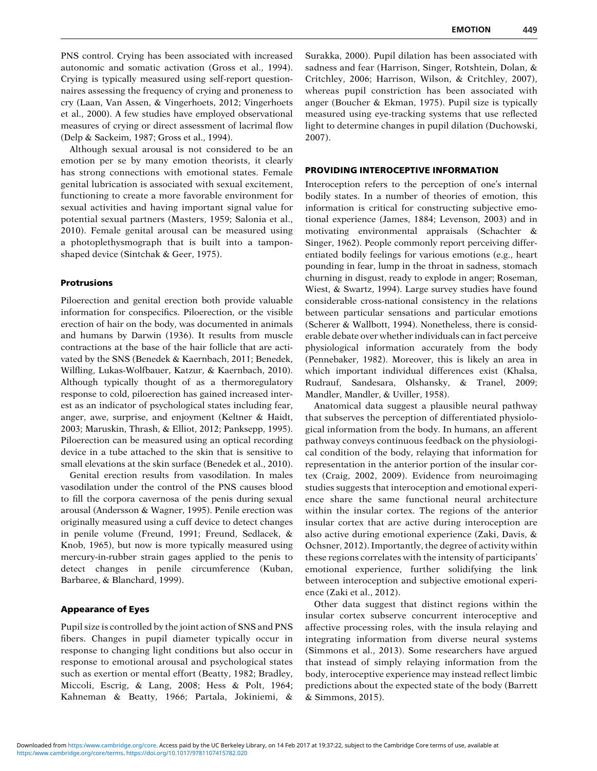PNS control. Crying has been associated with increased autonomic and somatic activation (Gross et al., 1994). Crying is typically measured using self-report questionnaires assessing the frequency of crying and proneness to cry (Laan, Van Assen, & Vingerhoets, 2012; Vingerhoets et al., 2000). A few studies have employed observational measures of crying or direct assessment of lacrimal flow (Delp & Sackeim, 1987; Gross et al., 1994).

Although sexual arousal is not considered to be an emotion per se by many emotion theorists, it clearly has strong connections with emotional states. Female genital lubrication is associated with sexual excitement, functioning to create a more favorable environment for sexual activities and having important signal value for potential sexual partners (Masters, 1959; Salonia et al., 2010). Female genital arousal can be measured using a photoplethysmograph that is built into a tamponshaped device (Sintchak & Geer, 1975).

## Protrusions

Piloerection and genital erection both provide valuable information for conspecifics. Piloerection, or the visible erection of hair on the body, was documented in animals and humans by Darwin (1936). It results from muscle contractions at the base of the hair follicle that are activated by the SNS (Benedek & Kaernbach, 2011; Benedek, Wilfling, Lukas-Wolfbauer, Katzur, & Kaernbach, 2010). Although typically thought of as a thermoregulatory response to cold, piloerection has gained increased interest as an indicator of psychological states including fear, anger, awe, surprise, and enjoyment (Keltner & Haidt, 2003; Maruskin, Thrash, & Elliot, 2012; Panksepp, 1995). Piloerection can be measured using an optical recording device in a tube attached to the skin that is sensitive to small elevations at the skin surface (Benedek et al., 2010).

Genital erection results from vasodilation. In males vasodilation under the control of the PNS causes blood to fill the corpora cavernosa of the penis during sexual arousal (Andersson & Wagner, 1995). Penile erection was originally measured using a cuff device to detect changes in penile volume (Freund, 1991; Freund, Sedlacek, & Knob, 1965), but now is more typically measured using mercury-in-rubber strain gages applied to the penis to detect changes in penile circumference (Kuban, Barbaree, & Blanchard, 1999).

#### Appearance of Eyes

Pupil size is controlled by the joint action of SNS and PNS fibers. Changes in pupil diameter typically occur in response to changing light conditions but also occur in response to emotional arousal and psychological states such as exertion or mental effort (Beatty, 1982; Bradley, Miccoli, Escrig, & Lang, 2008; Hess & Polt, 1964; Kahneman & Beatty, 1966; Partala, Jokiniemi, &

Surakka, 2000). Pupil dilation has been associated with sadness and fear (Harrison, Singer, Rotshtein, Dolan, & Critchley, 2006; Harrison, Wilson, & Critchley, 2007), whereas pupil constriction has been associated with anger (Boucher & Ekman, 1975). Pupil size is typically measured using eye-tracking systems that use reflected light to determine changes in pupil dilation (Duchowski, 2007).

## PROVIDING INTEROCEPTIVE INFORMATION

Interoception refers to the perception of one's internal bodily states. In a number of theories of emotion, this information is critical for constructing subjective emotional experience (James, 1884; Levenson, 2003) and in motivating environmental appraisals (Schachter & Singer, 1962). People commonly report perceiving differentiated bodily feelings for various emotions (e.g., heart pounding in fear, lump in the throat in sadness, stomach churning in disgust, ready to explode in anger; Roseman, Wiest, & Swartz, 1994). Large survey studies have found considerable cross-national consistency in the relations between particular sensations and particular emotions (Scherer & Wallbott, 1994). Nonetheless, there is considerable debate over whether individuals can in fact perceive physiological information accurately from the body (Pennebaker, 1982). Moreover, this is likely an area in which important individual differences exist (Khalsa, Rudrauf, Sandesara, Olshansky, & Tranel, 2009; Mandler, Mandler, & Uviller, 1958).

Anatomical data suggest a plausible neural pathway that subserves the perception of differentiated physiological information from the body. In humans, an afferent pathway conveys continuous feedback on the physiological condition of the body, relaying that information for representation in the anterior portion of the insular cortex (Craig, 2002, 2009). Evidence from neuroimaging studies suggests that interoception and emotional experience share the same functional neural architecture within the insular cortex. The regions of the anterior insular cortex that are active during interoception are also active during emotional experience (Zaki, Davis, & Ochsner, 2012). Importantly, the degree of activity within these regions correlates with the intensity of participants' emotional experience, further solidifying the link between interoception and subjective emotional experience (Zaki et al., 2012).

Other data suggest that distinct regions within the insular cortex subserve concurrent interoceptive and affective processing roles, with the insula relaying and integrating information from diverse neural systems (Simmons et al., 2013). Some researchers have argued that instead of simply relaying information from the body, interoceptive experience may instead reflect limbic predictions about the expected state of the body (Barrett & Simmons, 2015).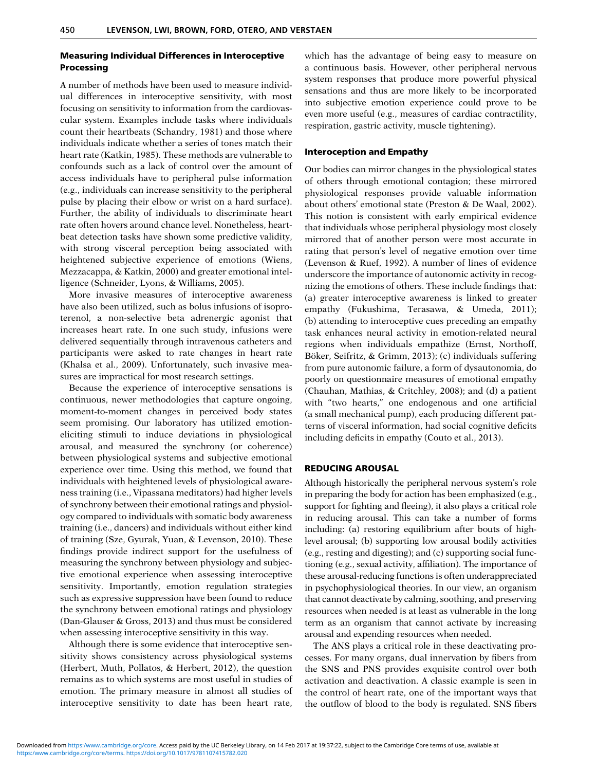## Measuring Individual Differences in Interoceptive **Processing**

A number of methods have been used to measure individual differences in interoceptive sensitivity, with most focusing on sensitivity to information from the cardiovascular system. Examples include tasks where individuals count their heartbeats (Schandry, 1981) and those where individuals indicate whether a series of tones match their heart rate (Katkin, 1985). These methods are vulnerable to confounds such as a lack of control over the amount of access individuals have to peripheral pulse information (e.g., individuals can increase sensitivity to the peripheral pulse by placing their elbow or wrist on a hard surface). Further, the ability of individuals to discriminate heart rate often hovers around chance level. Nonetheless, heartbeat detection tasks have shown some predictive validity, with strong visceral perception being associated with heightened subjective experience of emotions (Wiens, Mezzacappa, & Katkin, 2000) and greater emotional intelligence (Schneider, Lyons, & Williams, 2005).

More invasive measures of interoceptive awareness have also been utilized, such as bolus infusions of isoproterenol, a non-selective beta adrenergic agonist that increases heart rate. In one such study, infusions were delivered sequentially through intravenous catheters and participants were asked to rate changes in heart rate (Khalsa et al., 2009). Unfortunately, such invasive measures are impractical for most research settings.

Because the experience of interoceptive sensations is continuous, newer methodologies that capture ongoing, moment-to-moment changes in perceived body states seem promising. Our laboratory has utilized emotioneliciting stimuli to induce deviations in physiological arousal, and measured the synchrony (or coherence) between physiological systems and subjective emotional experience over time. Using this method, we found that individuals with heightened levels of physiological awareness training (i.e., Vipassana meditators) had higher levels of synchrony between their emotional ratings and physiology compared to individuals with somatic body awareness training (i.e., dancers) and individuals without either kind of training (Sze, Gyurak, Yuan, & Levenson, 2010). These findings provide indirect support for the usefulness of measuring the synchrony between physiology and subjective emotional experience when assessing interoceptive sensitivity. Importantly, emotion regulation strategies such as expressive suppression have been found to reduce the synchrony between emotional ratings and physiology (Dan-Glauser & Gross, 2013) and thus must be considered when assessing interoceptive sensitivity in this way.

Although there is some evidence that interoceptive sensitivity shows consistency across physiological systems (Herbert, Muth, Pollatos, & Herbert, 2012), the question remains as to which systems are most useful in studies of emotion. The primary measure in almost all studies of interoceptive sensitivity to date has been heart rate,

which has the advantage of being easy to measure on a continuous basis. However, other peripheral nervous system responses that produce more powerful physical sensations and thus are more likely to be incorporated into subjective emotion experience could prove to be even more useful (e.g., measures of cardiac contractility, respiration, gastric activity, muscle tightening).

#### Interoception and Empathy

Our bodies can mirror changes in the physiological states of others through emotional contagion; these mirrored physiological responses provide valuable information about others' emotional state (Preston & De Waal, 2002). This notion is consistent with early empirical evidence that individuals whose peripheral physiology most closely mirrored that of another person were most accurate in rating that person's level of negative emotion over time (Levenson & Ruef, 1992). A number of lines of evidence underscore the importance of autonomic activity in recognizing the emotions of others. These include findings that: (a) greater interoceptive awareness is linked to greater empathy (Fukushima, Terasawa, & Umeda, 2011); (b) attending to interoceptive cues preceding an empathy task enhances neural activity in emotion-related neural regions when individuals empathize (Ernst, Northoff, Böker, Seifritz, & Grimm, 2013); (c) individuals suffering from pure autonomic failure, a form of dysautonomia, do poorly on questionnaire measures of emotional empathy (Chauhan, Mathias, & Critchley, 2008); and (d) a patient with "two hearts," one endogenous and one artificial (a small mechanical pump), each producing different patterns of visceral information, had social cognitive deficits including deficits in empathy (Couto et al., 2013).

## REDUCING AROUSAL

Although historically the peripheral nervous system's role in preparing the body for action has been emphasized (e.g., support for fighting and fleeing), it also plays a critical role in reducing arousal. This can take a number of forms including: (a) restoring equilibrium after bouts of highlevel arousal; (b) supporting low arousal bodily activities (e.g., resting and digesting); and (c) supporting social functioning (e.g., sexual activity, affiliation). The importance of these arousal-reducing functions is often underappreciated in psychophysiological theories. In our view, an organism that cannot deactivate by calming, soothing, and preserving resources when needed is at least as vulnerable in the long term as an organism that cannot activate by increasing arousal and expending resources when needed.

The ANS plays a critical role in these deactivating processes. For many organs, dual innervation by fibers from the SNS and PNS provides exquisite control over both activation and deactivation. A classic example is seen in the control of heart rate, one of the important ways that the outflow of blood to the body is regulated. SNS fibers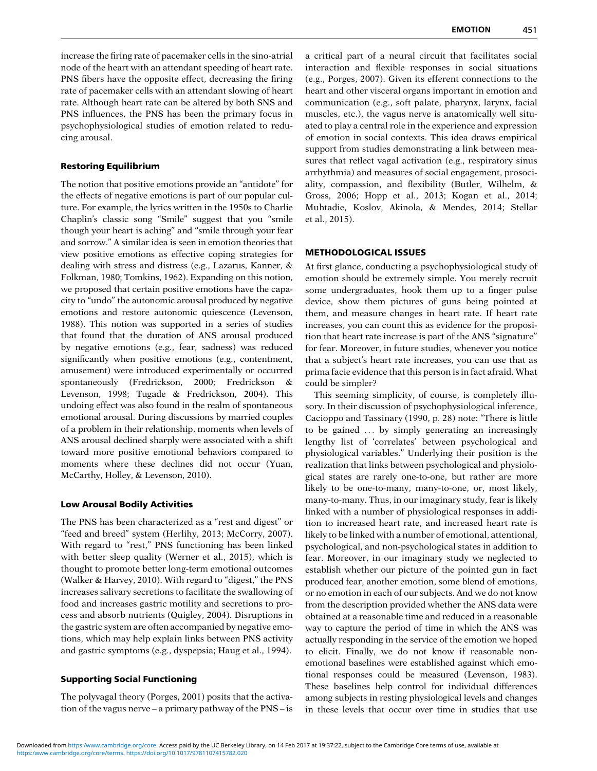increase the firing rate of pacemaker cells in the sino-atrial node of the heart with an attendant speeding of heart rate. PNS fibers have the opposite effect, decreasing the firing rate of pacemaker cells with an attendant slowing of heart rate. Although heart rate can be altered by both SNS and PNS influences, the PNS has been the primary focus in psychophysiological studies of emotion related to reducing arousal.

#### Restoring Equilibrium

The notion that positive emotions provide an "antidote" for the effects of negative emotions is part of our popular culture. For example, the lyrics written in the 1950s to Charlie Chaplin's classic song "Smile" suggest that you "smile though your heart is aching" and "smile through your fear and sorrow." A similar idea is seen in emotion theories that view positive emotions as effective coping strategies for dealing with stress and distress (e.g., Lazarus, Kanner, & Folkman, 1980; Tomkins, 1962). Expanding on this notion, we proposed that certain positive emotions have the capacity to "undo" the autonomic arousal produced by negative emotions and restore autonomic quiescence (Levenson, 1988). This notion was supported in a series of studies that found that the duration of ANS arousal produced by negative emotions (e.g., fear, sadness) was reduced significantly when positive emotions (e.g., contentment, amusement) were introduced experimentally or occurred spontaneously (Fredrickson, 2000; Fredrickson & Levenson, 1998; Tugade & Fredrickson, 2004). This undoing effect was also found in the realm of spontaneous emotional arousal. During discussions by married couples of a problem in their relationship, moments when levels of ANS arousal declined sharply were associated with a shift toward more positive emotional behaviors compared to moments where these declines did not occur (Yuan, McCarthy, Holley, & Levenson, 2010).

#### Low Arousal Bodily Activities

The PNS has been characterized as a "rest and digest" or "feed and breed" system (Herlihy, 2013; McCorry, 2007). With regard to "rest," PNS functioning has been linked with better sleep quality (Werner et al., 2015), which is thought to promote better long-term emotional outcomes (Walker & Harvey, 2010). With regard to "digest," the PNS increases salivary secretions to facilitate the swallowing of food and increases gastric motility and secretions to process and absorb nutrients (Quigley, 2004). Disruptions in the gastric system are often accompanied by negative emotions, which may help explain links between PNS activity and gastric symptoms (e.g., dyspepsia; Haug et al., 1994).

## Supporting Social Functioning

The polyvagal theory (Porges, 2001) posits that the activation of the vagus nerve – a primary pathway of the PNS – is

a critical part of a neural circuit that facilitates social interaction and flexible responses in social situations (e.g., Porges, 2007). Given its efferent connections to the heart and other visceral organs important in emotion and communication (e.g., soft palate, pharynx, larynx, facial muscles, etc.), the vagus nerve is anatomically well situated to play a central role in the experience and expression of emotion in social contexts. This idea draws empirical support from studies demonstrating a link between measures that reflect vagal activation (e.g., respiratory sinus arrhythmia) and measures of social engagement, prosociality, compassion, and flexibility (Butler, Wilhelm, & Gross, 2006; Hopp et al., 2013; Kogan et al., 2014; Muhtadie, Koslov, Akinola, & Mendes, 2014; Stellar et al., 2015).

## METHODOLOGICAL ISSUES

At first glance, conducting a psychophysiological study of emotion should be extremely simple. You merely recruit some undergraduates, hook them up to a finger pulse device, show them pictures of guns being pointed at them, and measure changes in heart rate. If heart rate increases, you can count this as evidence for the proposition that heart rate increase is part of the ANS "signature" for fear. Moreover, in future studies, whenever you notice that a subject's heart rate increases, you can use that as prima facie evidence that this person is in fact afraid. What could be simpler?

This seeming simplicity, of course, is completely illusory. In their discussion of psychophysiological inference, Cacioppo and Tassinary (1990, p. 28) note: "There is little to be gained ... by simply generating an increasingly lengthy list of 'correlates' between psychological and physiological variables." Underlying their position is the realization that links between psychological and physiological states are rarely one-to-one, but rather are more likely to be one-to-many, many-to-one, or, most likely, many-to-many. Thus, in our imaginary study, fear is likely linked with a number of physiological responses in addition to increased heart rate, and increased heart rate is likely to be linked with a number of emotional, attentional, psychological, and non-psychological states in addition to fear. Moreover, in our imaginary study we neglected to establish whether our picture of the pointed gun in fact produced fear, another emotion, some blend of emotions, or no emotion in each of our subjects. And we do not know from the description provided whether the ANS data were obtained at a reasonable time and reduced in a reasonable way to capture the period of time in which the ANS was actually responding in the service of the emotion we hoped to elicit. Finally, we do not know if reasonable nonemotional baselines were established against which emotional responses could be measured (Levenson, 1983). These baselines help control for individual differences among subjects in resting physiological levels and changes in these levels that occur over time in studies that use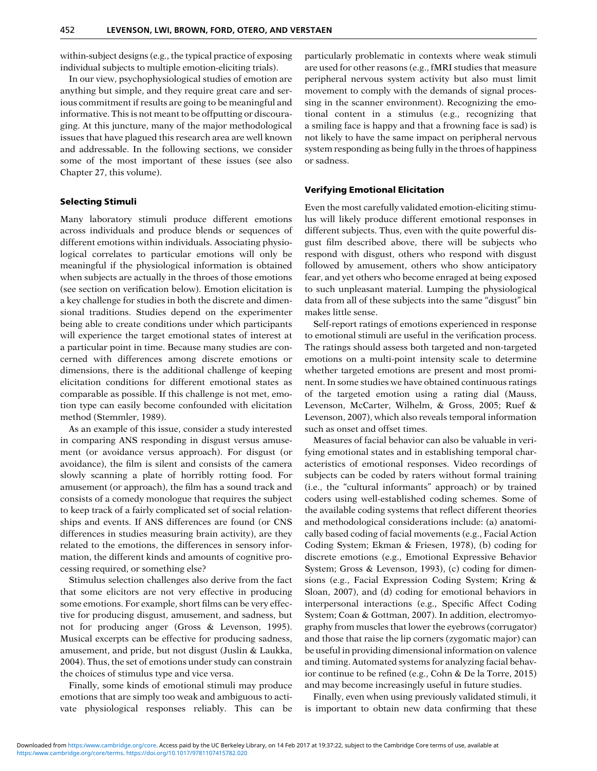within-subject designs (e.g., the typical practice of exposing individual subjects to multiple emotion-eliciting trials).

In our view, psychophysiological studies of emotion are anything but simple, and they require great care and serious commitment if results are going to be meaningful and informative. This is not meant to be offputting or discouraging. At this juncture, many of the major methodological issues that have plagued this research area are well known and addressable. In the following sections, we consider some of the most important of these issues (see also Chapter 27, this volume).

## Selecting Stimuli

Many laboratory stimuli produce different emotions across individuals and produce blends or sequences of different emotions within individuals. Associating physiological correlates to particular emotions will only be meaningful if the physiological information is obtained when subjects are actually in the throes of those emotions (see section on verification below). Emotion elicitation is a key challenge for studies in both the discrete and dimensional traditions. Studies depend on the experimenter being able to create conditions under which participants will experience the target emotional states of interest at a particular point in time. Because many studies are concerned with differences among discrete emotions or dimensions, there is the additional challenge of keeping elicitation conditions for different emotional states as comparable as possible. If this challenge is not met, emotion type can easily become confounded with elicitation method (Stemmler, 1989).

As an example of this issue, consider a study interested in comparing ANS responding in disgust versus amusement (or avoidance versus approach). For disgust (or avoidance), the film is silent and consists of the camera slowly scanning a plate of horribly rotting food. For amusement (or approach), the film has a sound track and consists of a comedy monologue that requires the subject to keep track of a fairly complicated set of social relationships and events. If ANS differences are found (or CNS differences in studies measuring brain activity), are they related to the emotions, the differences in sensory information, the different kinds and amounts of cognitive processing required, or something else?

Stimulus selection challenges also derive from the fact that some elicitors are not very effective in producing some emotions. For example, short films can be very effective for producing disgust, amusement, and sadness, but not for producing anger (Gross & Levenson, 1995). Musical excerpts can be effective for producing sadness, amusement, and pride, but not disgust (Juslin & Laukka, 2004). Thus, the set of emotions under study can constrain the choices of stimulus type and vice versa.

Finally, some kinds of emotional stimuli may produce emotions that are simply too weak and ambiguous to activate physiological responses reliably. This can be particularly problematic in contexts where weak stimuli are used for other reasons (e.g., fMRI studies that measure peripheral nervous system activity but also must limit movement to comply with the demands of signal processing in the scanner environment). Recognizing the emotional content in a stimulus (e.g., recognizing that a smiling face is happy and that a frowning face is sad) is not likely to have the same impact on peripheral nervous system responding as being fully in the throes of happiness or sadness.

## Verifying Emotional Elicitation

Even the most carefully validated emotion-eliciting stimulus will likely produce different emotional responses in different subjects. Thus, even with the quite powerful disgust film described above, there will be subjects who respond with disgust, others who respond with disgust followed by amusement, others who show anticipatory fear, and yet others who become enraged at being exposed to such unpleasant material. Lumping the physiological data from all of these subjects into the same "disgust" bin makes little sense.

Self-report ratings of emotions experienced in response to emotional stimuli are useful in the verification process. The ratings should assess both targeted and non-targeted emotions on a multi-point intensity scale to determine whether targeted emotions are present and most prominent. In some studies we have obtained continuous ratings of the targeted emotion using a rating dial (Mauss, Levenson, McCarter, Wilhelm, & Gross, 2005; Ruef & Levenson, 2007), which also reveals temporal information such as onset and offset times.

Measures of facial behavior can also be valuable in verifying emotional states and in establishing temporal characteristics of emotional responses. Video recordings of subjects can be coded by raters without formal training (i.e., the "cultural informants" approach) or by trained coders using well-established coding schemes. Some of the available coding systems that reflect different theories and methodological considerations include: (a) anatomically based coding of facial movements (e.g., Facial Action Coding System; Ekman & Friesen, 1978), (b) coding for discrete emotions (e.g., Emotional Expressive Behavior System; Gross & Levenson, 1993), (c) coding for dimensions (e.g., Facial Expression Coding System; Kring & Sloan, 2007), and (d) coding for emotional behaviors in interpersonal interactions (e.g., Specific Affect Coding System; Coan & Gottman, 2007). In addition, electromyography from muscles that lower the eyebrows (corrugator) and those that raise the lip corners (zygomatic major) can be useful in providing dimensional information on valence and timing. Automated systems for analyzing facial behavior continue to be refined (e.g., Cohn & De la Torre, 2015) and may become increasingly useful in future studies.

Finally, even when using previously validated stimuli, it is important to obtain new data confirming that these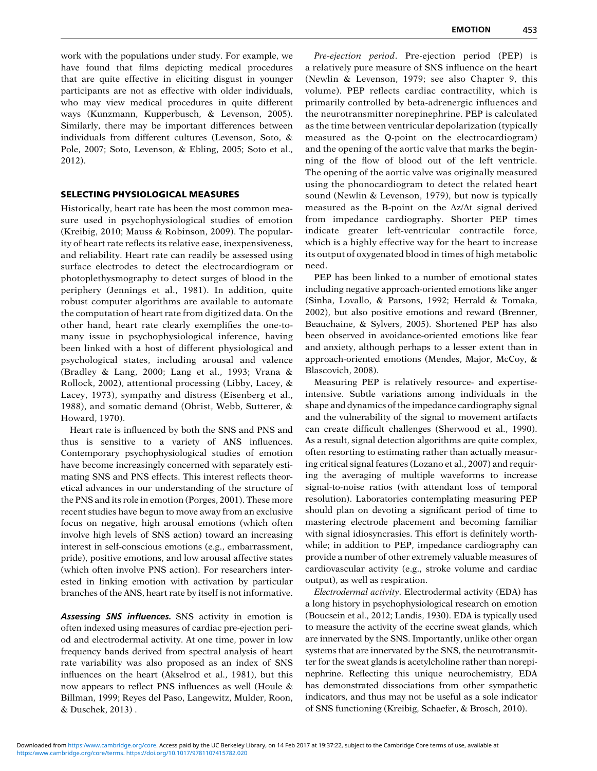work with the populations under study. For example, we have found that films depicting medical procedures that are quite effective in eliciting disgust in younger participants are not as effective with older individuals, who may view medical procedures in quite different ways (Kunzmann, Kupperbusch, & Levenson, 2005). Similarly, there may be important differences between individuals from different cultures (Levenson, Soto, & Pole, 2007; Soto, Levenson, & Ebling, 2005; Soto et al., 2012).

## SELECTING PHYSIOLOGICAL MEASURES

Historically, heart rate has been the most common measure used in psychophysiological studies of emotion (Kreibig, 2010; Mauss & Robinson, 2009). The popularity of heart rate reflects its relative ease, inexpensiveness, and reliability. Heart rate can readily be assessed using surface electrodes to detect the electrocardiogram or photoplethysmography to detect surges of blood in the periphery (Jennings et al., 1981). In addition, quite robust computer algorithms are available to automate the computation of heart rate from digitized data. On the other hand, heart rate clearly exemplifies the one-tomany issue in psychophysiological inference, having been linked with a host of different physiological and psychological states, including arousal and valence (Bradley & Lang, 2000; Lang et al., 1993; Vrana & Rollock, 2002), attentional processing (Libby, Lacey, & Lacey, 1973), sympathy and distress (Eisenberg et al., 1988), and somatic demand (Obrist, Webb, Sutterer, & Howard, 1970).

Heart rate is influenced by both the SNS and PNS and thus is sensitive to a variety of ANS influences. Contemporary psychophysiological studies of emotion have become increasingly concerned with separately estimating SNS and PNS effects. This interest reflects theoretical advances in our understanding of the structure of the PNS and its role in emotion (Porges, 2001). These more recent studies have begun to move away from an exclusive focus on negative, high arousal emotions (which often involve high levels of SNS action) toward an increasing interest in self-conscious emotions (e.g., embarrassment, pride), positive emotions, and low arousal affective states (which often involve PNS action). For researchers interested in linking emotion with activation by particular branches of the ANS, heart rate by itself is not informative.

Assessing SNS influences. SNS activity in emotion is often indexed using measures of cardiac pre-ejection period and electrodermal activity. At one time, power in low frequency bands derived from spectral analysis of heart rate variability was also proposed as an index of SNS influences on the heart (Akselrod et al., 1981), but this now appears to reflect PNS influences as well (Houle & Billman, 1999; Reyes del Paso, Langewitz, Mulder, Roon, & Duschek, 2013) .

Pre-ejection period. Pre-ejection period (PEP) is a relatively pure measure of SNS influence on the heart (Newlin & Levenson, 1979; see also Chapter 9, this volume). PEP reflects cardiac contractility, which is primarily controlled by beta-adrenergic influences and the neurotransmitter norepinephrine. PEP is calculated as the time between ventricular depolarization (typically measured as the Q-point on the electrocardiogram) and the opening of the aortic valve that marks the beginning of the flow of blood out of the left ventricle. The opening of the aortic valve was originally measured using the phonocardiogram to detect the related heart sound (Newlin & Levenson, 1979), but now is typically measured as the B-point on the  $\Delta z/\Delta t$  signal derived from impedance cardiography. Shorter PEP times indicate greater left-ventricular contractile force, which is a highly effective way for the heart to increase its output of oxygenated blood in times of high metabolic need.

PEP has been linked to a number of emotional states including negative approach-oriented emotions like anger (Sinha, Lovallo, & Parsons, 1992; Herrald & Tomaka, 2002), but also positive emotions and reward (Brenner, Beauchaine, & Sylvers, 2005). Shortened PEP has also been observed in avoidance-oriented emotions like fear and anxiety, although perhaps to a lesser extent than in approach-oriented emotions (Mendes, Major, McCoy, & Blascovich, 2008).

Measuring PEP is relatively resource- and expertiseintensive. Subtle variations among individuals in the shape and dynamics of the impedance cardiography signal and the vulnerability of the signal to movement artifacts can create difficult challenges (Sherwood et al., 1990). As a result, signal detection algorithms are quite complex, often resorting to estimating rather than actually measuring critical signal features (Lozano et al., 2007) and requiring the averaging of multiple waveforms to increase signal-to-noise ratios (with attendant loss of temporal resolution). Laboratories contemplating measuring PEP should plan on devoting a significant period of time to mastering electrode placement and becoming familiar with signal idiosyncrasies. This effort is definitely worthwhile; in addition to PEP, impedance cardiography can provide a number of other extremely valuable measures of cardiovascular activity (e.g., stroke volume and cardiac output), as well as respiration.

Electrodermal activity. Electrodermal activity (EDA) has a long history in psychophysiological research on emotion (Boucsein et al., 2012; Landis, 1930). EDA is typically used to measure the activity of the eccrine sweat glands, which are innervated by the SNS. Importantly, unlike other organ systems that are innervated by the SNS, the neurotransmitter for the sweat glands is acetylcholine rather than norepinephrine. Reflecting this unique neurochemistry, EDA has demonstrated dissociations from other sympathetic indicators, and thus may not be useful as a sole indicator of SNS functioning (Kreibig, Schaefer, & Brosch, 2010).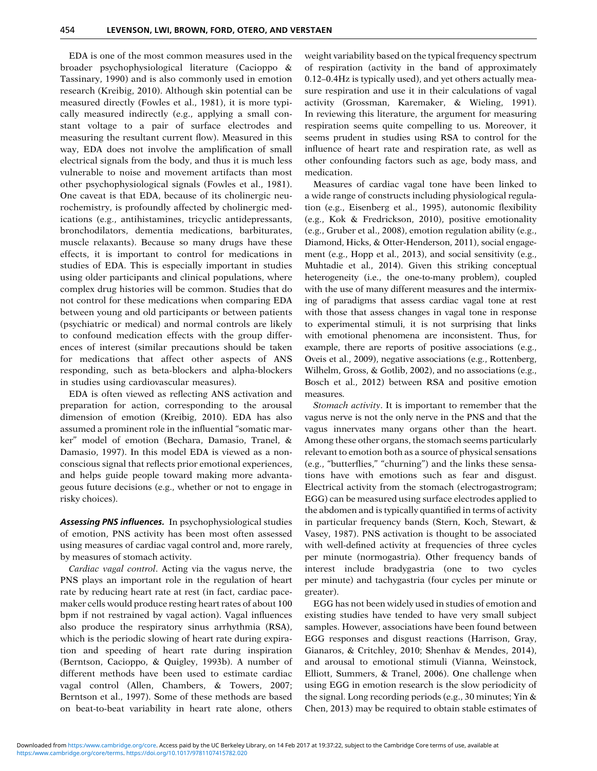EDA is one of the most common measures used in the broader psychophysiological literature (Cacioppo & Tassinary, 1990) and is also commonly used in emotion research (Kreibig, 2010). Although skin potential can be measured directly (Fowles et al., 1981), it is more typically measured indirectly (e.g., applying a small constant voltage to a pair of surface electrodes and measuring the resultant current flow). Measured in this way, EDA does not involve the amplification of small electrical signals from the body, and thus it is much less vulnerable to noise and movement artifacts than most other psychophysiological signals (Fowles et al., 1981). One caveat is that EDA, because of its cholinergic neurochemistry, is profoundly affected by cholinergic medications (e.g., antihistamines, tricyclic antidepressants, bronchodilators, dementia medications, barbiturates, muscle relaxants). Because so many drugs have these effects, it is important to control for medications in studies of EDA. This is especially important in studies using older participants and clinical populations, where complex drug histories will be common. Studies that do not control for these medications when comparing EDA between young and old participants or between patients (psychiatric or medical) and normal controls are likely to confound medication effects with the group differences of interest (similar precautions should be taken for medications that affect other aspects of ANS responding, such as beta-blockers and alpha-blockers in studies using cardiovascular measures).

EDA is often viewed as reflecting ANS activation and preparation for action, corresponding to the arousal dimension of emotion (Kreibig, 2010). EDA has also assumed a prominent role in the influential "somatic marker" model of emotion (Bechara, Damasio, Tranel, & Damasio, 1997). In this model EDA is viewed as a nonconscious signal that reflects prior emotional experiences, and helps guide people toward making more advantageous future decisions (e.g., whether or not to engage in risky choices).

Assessing PNS influences. In psychophysiological studies of emotion, PNS activity has been most often assessed using measures of cardiac vagal control and, more rarely, by measures of stomach activity.

Cardiac vagal control. Acting via the vagus nerve, the PNS plays an important role in the regulation of heart rate by reducing heart rate at rest (in fact, cardiac pacemaker cells would produce resting heart rates of about 100 bpm if not restrained by vagal action). Vagal influences also produce the respiratory sinus arrhythmia (RSA), which is the periodic slowing of heart rate during expiration and speeding of heart rate during inspiration (Berntson, Cacioppo, & Quigley, 1993b). A number of different methods have been used to estimate cardiac vagal control (Allen, Chambers, & Towers, 2007; Berntson et al., 1997). Some of these methods are based on beat-to-beat variability in heart rate alone, others weight variability based on the typical frequency spectrum of respiration (activity in the band of approximately 0.12–0.4Hz is typically used), and yet others actually measure respiration and use it in their calculations of vagal activity (Grossman, Karemaker, & Wieling, 1991). In reviewing this literature, the argument for measuring respiration seems quite compelling to us. Moreover, it seems prudent in studies using RSA to control for the influence of heart rate and respiration rate, as well as other confounding factors such as age, body mass, and medication.

Measures of cardiac vagal tone have been linked to a wide range of constructs including physiological regulation (e.g., Eisenberg et al., 1995), autonomic flexibility (e.g., Kok & Fredrickson, 2010), positive emotionality (e.g., Gruber et al., 2008), emotion regulation ability (e.g., Diamond, Hicks, & Otter-Henderson, 2011), social engagement (e.g., Hopp et al., 2013), and social sensitivity (e.g., Muhtadie et al., 2014). Given this striking conceptual heterogeneity (i.e., the one-to-many problem), coupled with the use of many different measures and the intermixing of paradigms that assess cardiac vagal tone at rest with those that assess changes in vagal tone in response to experimental stimuli, it is not surprising that links with emotional phenomena are inconsistent. Thus, for example, there are reports of positive associations (e.g., Oveis et al., 2009), negative associations (e.g., Rottenberg, Wilhelm, Gross, & Gotlib, 2002), and no associations (e.g., Bosch et al., 2012) between RSA and positive emotion measures.

Stomach activity. It is important to remember that the vagus nerve is not the only nerve in the PNS and that the vagus innervates many organs other than the heart. Among these other organs, the stomach seems particularly relevant to emotion both as a source of physical sensations (e.g., "butterflies," "churning") and the links these sensations have with emotions such as fear and disgust. Electrical activity from the stomach (electrogastrogram; EGG) can be measured using surface electrodes applied to the abdomen and is typically quantified in terms of activity in particular frequency bands (Stern, Koch, Stewart, & Vasey, 1987). PNS activation is thought to be associated with well-defined activity at frequencies of three cycles per minute (normogastria). Other frequency bands of interest include bradygastria (one to two cycles per minute) and tachygastria (four cycles per minute or greater).

EGG has not been widely used in studies of emotion and existing studies have tended to have very small subject samples. However, associations have been found between EGG responses and disgust reactions (Harrison, Gray, Gianaros, & Critchley, 2010; Shenhav & Mendes, 2014), and arousal to emotional stimuli (Vianna, Weinstock, Elliott, Summers, & Tranel, 2006). One challenge when using EGG in emotion research is the slow periodicity of the signal. Long recording periods (e.g., 30 minutes; Yin & Chen, 2013) may be required to obtain stable estimates of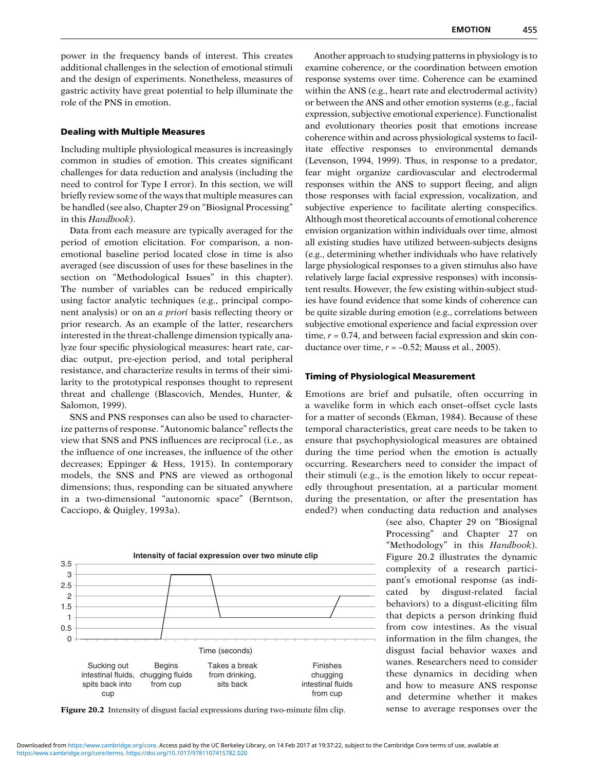power in the frequency bands of interest. This creates additional challenges in the selection of emotional stimuli and the design of experiments. Nonetheless, measures of gastric activity have great potential to help illuminate the role of the PNS in emotion.

## Dealing with Multiple Measures

Including multiple physiological measures is increasingly common in studies of emotion. This creates significant challenges for data reduction and analysis (including the need to control for Type I error). In this section, we will briefly review some of the ways that multiple measures can be handled (see also, Chapter 29 on "Biosignal Processing" in this Handbook).

Data from each measure are typically averaged for the period of emotion elicitation. For comparison, a nonemotional baseline period located close in time is also averaged (see discussion of uses for these baselines in the section on "Methodological Issues" in this chapter). The number of variables can be reduced empirically using factor analytic techniques (e.g., principal component analysis) or on an a priori basis reflecting theory or prior research. As an example of the latter, researchers interested in the threat-challenge dimension typically analyze four specific physiological measures: heart rate, cardiac output, pre-ejection period, and total peripheral resistance, and characterize results in terms of their similarity to the prototypical responses thought to represent threat and challenge (Blascovich, Mendes, Hunter, & Salomon, 1999).

SNS and PNS responses can also be used to characterize patterns of response. "Autonomic balance" reflects the view that SNS and PNS influences are reciprocal (i.e., as the influence of one increases, the influence of the other decreases; Eppinger & Hess, 1915). In contemporary models, the SNS and PNS are viewed as orthogonal dimensions; thus, responding can be situated anywhere in a two-dimensional "autonomic space" (Berntson, Cacciopo, & Quigley, 1993a).



Figure 20.2 Intensity of disgust facial expressions during two-minute film clip.

Another approach to studying patterns in physiology is to examine coherence, or the coordination between emotion response systems over time. Coherence can be examined within the ANS (e.g., heart rate and electrodermal activity) or between the ANS and other emotion systems (e.g., facial expression, subjective emotional experience). Functionalist and evolutionary theories posit that emotions increase coherence within and across physiological systems to facilitate effective responses to environmental demands (Levenson, 1994, 1999). Thus, in response to a predator, fear might organize cardiovascular and electrodermal responses within the ANS to support fleeing, and align those responses with facial expression, vocalization, and subjective experience to facilitate alerting conspecifics. Although most theoretical accounts of emotional coherence envision organization within individuals over time, almost all existing studies have utilized between-subjects designs (e.g., determining whether individuals who have relatively large physiological responses to a given stimulus also have relatively large facial expressive responses) with inconsistent results. However, the few existing within-subject studies have found evidence that some kinds of coherence can be quite sizable during emotion (e.g., correlations between subjective emotional experience and facial expression over time,  $r = 0.74$ , and between facial expression and skin conductance over time,  $r = -0.52$ ; Mauss et al., 2005).

## Timing of Physiological Measurement

Emotions are brief and pulsatile, often occurring in a wavelike form in which each onset–offset cycle lasts for a matter of seconds (Ekman, 1984). Because of these temporal characteristics, great care needs to be taken to ensure that psychophysiological measures are obtained during the time period when the emotion is actually occurring. Researchers need to consider the impact of their stimuli (e.g., is the emotion likely to occur repeatedly throughout presentation, at a particular moment during the presentation, or after the presentation has ended?) when conducting data reduction and analyses

> (see also, Chapter 29 on "Biosignal Processing" and Chapter 27 on "Methodology" in this Handbook). Figure 20.2 illustrates the dynamic complexity of a research participant's emotional response (as indicated by disgust-related facial behaviors) to a disgust-eliciting film that depicts a person drinking fluid from cow intestines. As the visual information in the film changes, the disgust facial behavior waxes and wanes. Researchers need to consider these dynamics in deciding when and how to measure ANS response and determine whether it makes sense to average responses over the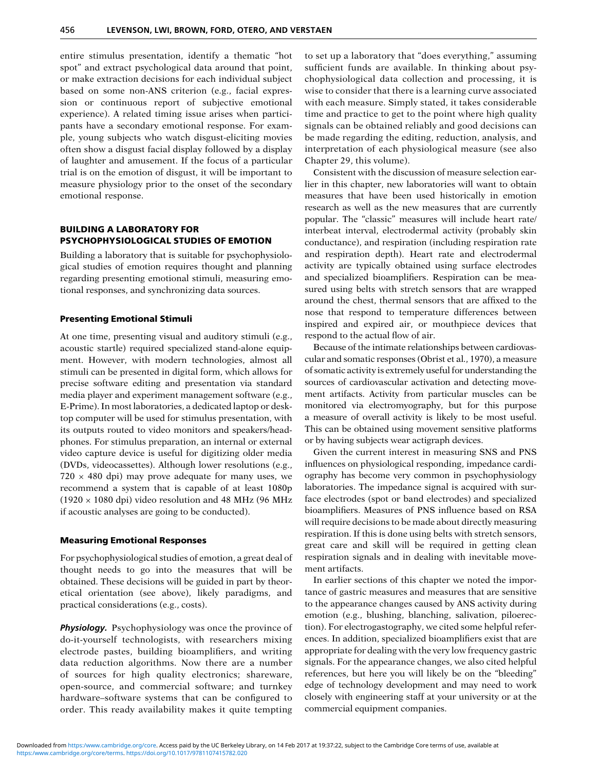entire stimulus presentation, identify a thematic "hot spot" and extract psychological data around that point, or make extraction decisions for each individual subject based on some non-ANS criterion (e.g., facial expression or continuous report of subjective emotional experience). A related timing issue arises when participants have a secondary emotional response. For example, young subjects who watch disgust-eliciting movies often show a disgust facial display followed by a display of laughter and amusement. If the focus of a particular trial is on the emotion of disgust, it will be important to measure physiology prior to the onset of the secondary emotional response.

# BUILDING A LABORATORY FOR PSYCHOPHYSIOLOGICAL STUDIES OF EMOTION

Building a laboratory that is suitable for psychophysiological studies of emotion requires thought and planning regarding presenting emotional stimuli, measuring emotional responses, and synchronizing data sources.

#### Presenting Emotional Stimuli

At one time, presenting visual and auditory stimuli (e.g., acoustic startle) required specialized stand-alone equipment. However, with modern technologies, almost all stimuli can be presented in digital form, which allows for precise software editing and presentation via standard media player and experiment management software (e.g., E-Prime). In most laboratories, a dedicated laptop or desktop computer will be used for stimulus presentation, with its outputs routed to video monitors and speakers/headphones. For stimulus preparation, an internal or external video capture device is useful for digitizing older media (DVDs, videocassettes). Although lower resolutions (e.g.,  $720 \times 480$  dpi) may prove adequate for many uses, we recommend a system that is capable of at least 1080p  $(1920 \times 1080$  dpi) video resolution and 48 MHz (96 MHz if acoustic analyses are going to be conducted).

## Measuring Emotional Responses

For psychophysiological studies of emotion, a great deal of thought needs to go into the measures that will be obtained. These decisions will be guided in part by theoretical orientation (see above), likely paradigms, and practical considerations (e.g., costs).

**Physiology.** Psychophysiology was once the province of do-it-yourself technologists, with researchers mixing electrode pastes, building bioamplifiers, and writing data reduction algorithms. Now there are a number of sources for high quality electronics; shareware, open-source, and commercial software; and turnkey hardware–software systems that can be configured to order. This ready availability makes it quite tempting to set up a laboratory that "does everything," assuming sufficient funds are available. In thinking about psychophysiological data collection and processing, it is wise to consider that there is a learning curve associated with each measure. Simply stated, it takes considerable time and practice to get to the point where high quality signals can be obtained reliably and good decisions can be made regarding the editing, reduction, analysis, and interpretation of each physiological measure (see also Chapter 29, this volume).

Consistent with the discussion of measure selection earlier in this chapter, new laboratories will want to obtain measures that have been used historically in emotion research as well as the new measures that are currently popular. The "classic" measures will include heart rate/ interbeat interval, electrodermal activity (probably skin conductance), and respiration (including respiration rate and respiration depth). Heart rate and electrodermal activity are typically obtained using surface electrodes and specialized bioamplifiers. Respiration can be measured using belts with stretch sensors that are wrapped around the chest, thermal sensors that are affixed to the nose that respond to temperature differences between inspired and expired air, or mouthpiece devices that respond to the actual flow of air.

Because of the intimate relationships between cardiovascular and somatic responses (Obrist et al., 1970), a measure of somatic activity is extremely useful for understanding the sources of cardiovascular activation and detecting movement artifacts. Activity from particular muscles can be monitored via electromyography, but for this purpose a measure of overall activity is likely to be most useful. This can be obtained using movement sensitive platforms or by having subjects wear actigraph devices.

Given the current interest in measuring SNS and PNS influences on physiological responding, impedance cardiography has become very common in psychophysiology laboratories. The impedance signal is acquired with surface electrodes (spot or band electrodes) and specialized bioamplifiers. Measures of PNS influence based on RSA will require decisions to be made about directly measuring respiration. If this is done using belts with stretch sensors, great care and skill will be required in getting clean respiration signals and in dealing with inevitable movement artifacts.

In earlier sections of this chapter we noted the importance of gastric measures and measures that are sensitive to the appearance changes caused by ANS activity during emotion (e.g., blushing, blanching, salivation, piloerection). For electrogastography, we cited some helpful references. In addition, specialized bioamplifiers exist that are appropriate for dealing with the very low frequency gastric signals. For the appearance changes, we also cited helpful references, but here you will likely be on the "bleeding" edge of technology development and may need to work closely with engineering staff at your university or at the commercial equipment companies.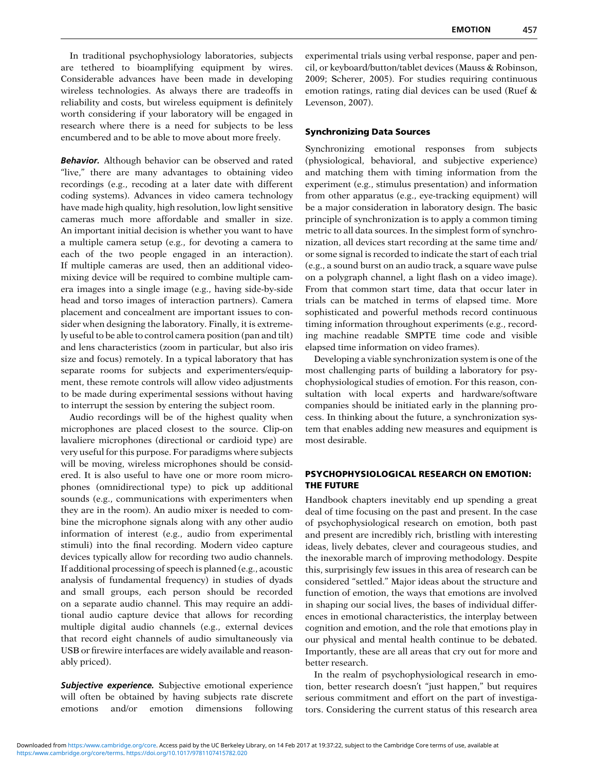In traditional psychophysiology laboratories, subjects are tethered to bioamplifying equipment by wires. Considerable advances have been made in developing wireless technologies. As always there are tradeoffs in reliability and costs, but wireless equipment is definitely worth considering if your laboratory will be engaged in research where there is a need for subjects to be less encumbered and to be able to move about more freely.

**Behavior.** Although behavior can be observed and rated "live," there are many advantages to obtaining video recordings (e.g., recoding at a later date with different coding systems). Advances in video camera technology have made high quality, high resolution, low light sensitive cameras much more affordable and smaller in size. An important initial decision is whether you want to have a multiple camera setup (e.g., for devoting a camera to each of the two people engaged in an interaction). If multiple cameras are used, then an additional videomixing device will be required to combine multiple camera images into a single image (e.g., having side-by-side head and torso images of interaction partners). Camera placement and concealment are important issues to consider when designing the laboratory. Finally, it is extremely useful to be able to control camera position (pan and tilt) and lens characteristics (zoom in particular, but also iris size and focus) remotely. In a typical laboratory that has separate rooms for subjects and experimenters/equipment, these remote controls will allow video adjustments to be made during experimental sessions without having to interrupt the session by entering the subject room.

Audio recordings will be of the highest quality when microphones are placed closest to the source. Clip-on lavaliere microphones (directional or cardioid type) are very useful for this purpose. For paradigms where subjects will be moving, wireless microphones should be considered. It is also useful to have one or more room microphones (omnidirectional type) to pick up additional sounds (e.g., communications with experimenters when they are in the room). An audio mixer is needed to combine the microphone signals along with any other audio information of interest (e.g., audio from experimental stimuli) into the final recording. Modern video capture devices typically allow for recording two audio channels. If additional processing of speech is planned (e.g., acoustic analysis of fundamental frequency) in studies of dyads and small groups, each person should be recorded on a separate audio channel. This may require an additional audio capture device that allows for recording multiple digital audio channels (e.g., external devices that record eight channels of audio simultaneously via USB or firewire interfaces are widely available and reasonably priced).

Subjective experience. Subjective emotional experience will often be obtained by having subjects rate discrete emotions and/or emotion dimensions following

experimental trials using verbal response, paper and pencil, or keyboard/button/tablet devices (Mauss & Robinson, 2009; Scherer, 2005). For studies requiring continuous emotion ratings, rating dial devices can be used (Ruef & Levenson, 2007).

## Synchronizing Data Sources

Synchronizing emotional responses from subjects (physiological, behavioral, and subjective experience) and matching them with timing information from the experiment (e.g., stimulus presentation) and information from other apparatus (e.g., eye-tracking equipment) will be a major consideration in laboratory design. The basic principle of synchronization is to apply a common timing metric to all data sources. In the simplest form of synchronization, all devices start recording at the same time and/ or some signal is recorded to indicate the start of each trial (e.g., a sound burst on an audio track, a square wave pulse on a polygraph channel, a light flash on a video image). From that common start time, data that occur later in trials can be matched in terms of elapsed time. More sophisticated and powerful methods record continuous timing information throughout experiments (e.g., recording machine readable SMPTE time code and visible elapsed time information on video frames).

Developing a viable synchronization system is one of the most challenging parts of building a laboratory for psychophysiological studies of emotion. For this reason, consultation with local experts and hardware/software companies should be initiated early in the planning process. In thinking about the future, a synchronization system that enables adding new measures and equipment is most desirable.

# PSYCHOPHYSIOLOGICAL RESEARCH ON EMOTION: THE FUTURE

Handbook chapters inevitably end up spending a great deal of time focusing on the past and present. In the case of psychophysiological research on emotion, both past and present are incredibly rich, bristling with interesting ideas, lively debates, clever and courageous studies, and the inexorable march of improving methodology. Despite this, surprisingly few issues in this area of research can be considered "settled." Major ideas about the structure and function of emotion, the ways that emotions are involved in shaping our social lives, the bases of individual differences in emotional characteristics, the interplay between cognition and emotion, and the role that emotions play in our physical and mental health continue to be debated. Importantly, these are all areas that cry out for more and better research.

In the realm of psychophysiological research in emotion, better research doesn't "just happen," but requires serious commitment and effort on the part of investigators. Considering the current status of this research area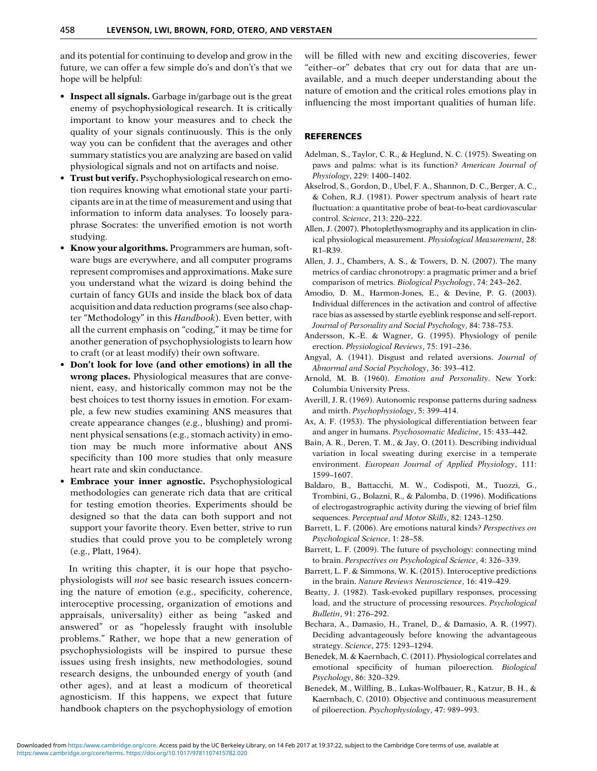and its potential for continuing to develop and grow in the future, we can offer a few simple do's and don't's that we hope will be helpful:

- Inspect all signals. Garbage in/garbage out is the great enemy of psychophysiological research. It is critically important to know your measures and to check the quality of your signals continuously. This is the only way you can be confident that the averages and other summary statistics you are analyzing are based on valid physiological signals and not on artifacts and noise.
- Trust but verify. Psychophysiological research on emotion requires knowing what emotional state your participants are in at the time of measurement and using that information to inform data analyses. To loosely paraphrase Socrates: the unverified emotion is not worth studying.
- Know your algorithms. Programmers are human, software bugs are everywhere, and all computer programs represent compromises and approximations. Make sure you understand what the wizard is doing behind the curtain of fancy GUIs and inside the black box of data acquisition and data reduction programs (see also chapter "Methodology" in this Handbook). Even better, with all the current emphasis on "coding," it may be time for another generation of psychophysiologists to learn how to craft (or at least modify) their own software.
- Don't look for love (and other emotions) in all the wrong places. Physiological measures that are convenient, easy, and historically common may not be the best choices to test thorny issues in emotion. For example, a few new studies examining ANS measures that create appearance changes (e.g., blushing) and prominent physical sensations (e.g., stomach activity) in emotion may be much more informative about ANS specificity than 100 more studies that only measure heart rate and skin conductance.
- Embrace your inner agnostic. Psychophysiological methodologies can generate rich data that are critical for testing emotion theories. Experiments should be designed so that the data can both support and not support your favorite theory. Even better, strive to run studies that could prove you to be completely wrong (e.g., Platt, 1964).

In writing this chapter, it is our hope that psychophysiologists will not see basic research issues concerning the nature of emotion (e.g., specificity, coherence, interoceptive processing, organization of emotions and appraisals, universality) either as being "asked and answered" or as "hopelessly fraught with insoluble problems." Rather, we hope that a new generation of psychophysiologists will be inspired to pursue these issues using fresh insights, new methodologies, sound research designs, the unbounded energy of youth (and other ages), and at least a modicum of theoretical agnosticism. If this happens, we expect that future handbook chapters on the psychophysiology of emotion

will be filled with new and exciting discoveries, fewer "either–or" debates that cry out for data that are unavailable, and a much deeper understanding about the nature of emotion and the critical roles emotions play in influencing the most important qualities of human life.

## **REFERENCES**

- Adelman, S., Taylor, C. R., & Heglund, N. C. (1975). Sweating on paws and palms: what is its function? American Journal of Physiology, 229: 1400–1402.
- Akselrod, S., Gordon, D., Ubel, F. A., Shannon, D. C., Berger, A. C., & Cohen, R.J. (1981). Power spectrum analysis of heart rate fluctuation: a quantitative probe of beat-to-beat cardiovascular control. Science, 213: 220–222.
- Allen, J. (2007). Photoplethysmography and its application in clinical physiological measurement. Physiological Measurement, 28: R1–R39.
- Allen, J. J., Chambers, A. S., & Towers, D. N. (2007). The many metrics of cardiac chronotropy: a pragmatic primer and a brief comparison of metrics. Biological Psychology, 74: 243–262.
- Amodio, D. M., Harmon-Jones, E., & Devine, P. G. (2003). Individual differences in the activation and control of affective race bias as assessed by startle eyeblink response and self-report. Journal of Personality and Social Psychology, 84: 738–753.
- Andersson, K.-E. & Wagner, G. (1995). Physiology of penile erection. Physiological Reviews, 75: 191–236.
- Angyal, A. (1941). Disgust and related aversions. Journal of Abnormal and Social Psychology, 36: 393–412.
- Arnold, M. B. (1960). Emotion and Personality. New York: Columbia University Press.
- Averill, J. R. (1969). Autonomic response patterns during sadness and mirth. Psychophysiology, 5: 399–414.
- Ax, A. F. (1953). The physiological differentiation between fear and anger in humans. Psychosomatic Medicine, 15: 433–442.
- Bain, A. R., Deren, T. M., & Jay, O. (2011). Describing individual variation in local sweating during exercise in a temperate environment. European Journal of Applied Physiology, 111: 1599–1607.
- Baldaro, B., Battacchi, M. W., Codispoti, M., Tuozzi, G., Trombini, G., Bolazni, R., & Palomba, D. (1996). Modifications of electrogastrographic activity during the viewing of brief film sequences. Perceptual and Motor Skills, 82: 1243–1250.
- Barrett, L. F. (2006). Are emotions natural kinds? Perspectives on Psychological Science, 1: 28–58.
- Barrett, L. F. (2009). The future of psychology: connecting mind to brain. Perspectives on Psychological Science, 4: 326–339.
- Barrett, L. F. & Simmons, W. K. (2015). Interoceptive predictions in the brain. Nature Reviews Neuroscience, 16: 419–429.
- Beatty, J. (1982). Task-evoked pupillary responses, processing load, and the structure of processing resources. Psychological Bulletin, 91: 276–292.
- Bechara, A., Damasio, H., Tranel, D., & Damasio, A. R. (1997). Deciding advantageously before knowing the advantageous strategy. Science, 275: 1293–1294.
- Benedek, M. & Kaernbach, C. (2011). Physiological correlates and emotional specificity of human piloerection. Biological Psychology, 86: 320–329.
- Benedek, M., Wilfling, B., Lukas-Wolfbauer, R., Katzur, B. H., & Kaernbach, C. (2010). Objective and continuous measurement of piloerection. Psychophysiology, 47: 989–993.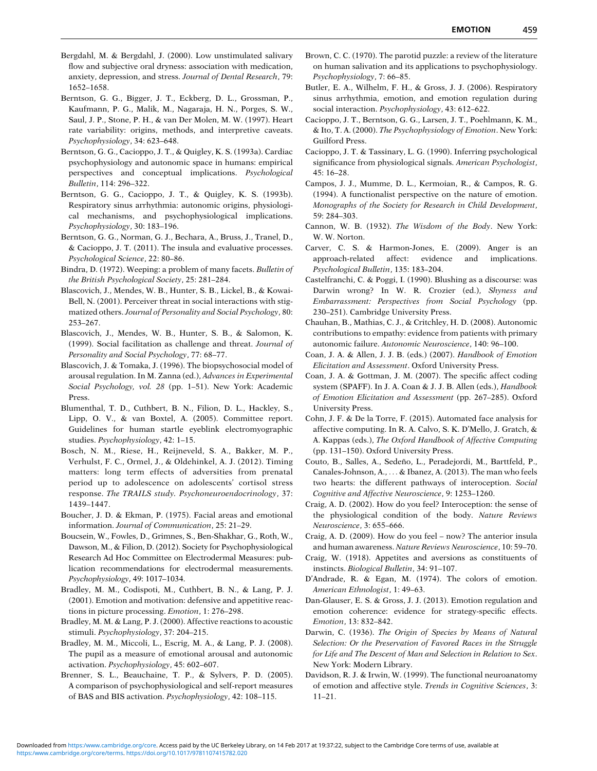- Bergdahl, M. & Bergdahl, J. (2000). Low unstimulated salivary flow and subjective oral dryness: association with medication. anxiety, depression, and stress. Journal of Dental Research, 79: 1652–1658.
- Berntson, G. G., Bigger, J. T., Eckberg, D. L., Grossman, P., Kaufmann, P. G., Malik, M., Nagaraja, H. N., Porges, S. W., Saul, J. P., Stone, P. H., & van Der Molen, M. W. (1997). Heart rate variability: origins, methods, and interpretive caveats. Psychophysiology, 34: 623–648.
- Berntson, G. G., Cacioppo, J. T., & Quigley, K. S. (1993a). Cardiac psychophysiology and autonomic space in humans: empirical perspectives and conceptual implications. Psychological Bulletin, 114: 296–322.
- Berntson, G. G., Cacioppo, J. T., & Quigley, K. S. (1993b). Respiratory sinus arrhythmia: autonomic origins, physiological mechanisms, and psychophysiological implications. Psychophysiology, 30: 183–196.
- Berntson, G. G., Norman, G. J., Bechara, A., Bruss, J., Tranel, D., & Cacioppo, J. T. (2011). The insula and evaluative processes. Psychological Science, 22: 80–86.
- Bindra, D. (1972). Weeping: a problem of many facets. Bulletin of the British Psychological Society, 25: 281–284.
- Blascovich, J., Mendes, W. B., Hunter, S. B., Lickel, B., & Kowai-Bell, N. (2001). Perceiver threat in social interactions with stigmatized others. Journal of Personality and Social Psychology, 80: 253–267.
- Blascovich, J., Mendes, W. B., Hunter, S. B., & Salomon, K. (1999). Social facilitation as challenge and threat. Journal of Personality and Social Psychology, 77: 68–77.
- Blascovich, J. & Tomaka, J. (1996). The biopsychosocial model of arousal regulation. In M. Zanna (ed.), Advances in Experimental Social Psychology, vol. 28 (pp. 1–51). New York: Academic Press.
- Blumenthal, T. D., Cuthbert, B. N., Filion, D. L., Hackley, S., Lipp, O. V., & van Boxtel, A. (2005). Committee report. Guidelines for human startle eyeblink electromyographic studies. Psychophysiology, 42: 1–15.
- Bosch, N. M., Riese, H., Reijneveld, S. A., Bakker, M. P., Verhulst, F. C., Ormel, J., & Oldehinkel, A. J. (2012). Timing matters: long term effects of adversities from prenatal period up to adolescence on adolescents' cortisol stress response. The TRAILS study. Psychoneuroendocrinology, 37: 1439–1447.
- Boucher, J. D. & Ekman, P. (1975). Facial areas and emotional information. Journal of Communication, 25: 21–29.
- Boucsein, W., Fowles, D., Grimnes, S., Ben-Shakhar, G., Roth, W., Dawson, M., & Filion, D. (2012). Society for Psychophysiological Research Ad Hoc Committee on Electrodermal Measures: publication recommendations for electrodermal measurements. Psychophysiology, 49: 1017–1034.
- Bradley, M. M., Codispoti, M., Cuthbert, B. N., & Lang, P. J. (2001). Emotion and motivation: defensive and appetitive reactions in picture processing. Emotion, 1: 276–298.
- Bradley, M. M. & Lang, P. J. (2000). Affective reactions to acoustic stimuli. Psychophysiology, 37: 204–215.
- Bradley, M. M., Miccoli, L., Escrig, M. A., & Lang, P. J. (2008). The pupil as a measure of emotional arousal and autonomic activation. Psychophysiology, 45: 602–607.
- Brenner, S. L., Beauchaine, T. P., & Sylvers, P. D. (2005). A comparison of psychophysiological and self‐report measures of BAS and BIS activation. Psychophysiology, 42: 108–115.
- Brown, C. C. (1970). The parotid puzzle: a review of the literature on human salivation and its applications to psychophysiology. Psychophysiology, 7: 66–85.
- Butler, E. A., Wilhelm, F. H., & Gross, J. J. (2006). Respiratory sinus arrhythmia, emotion, and emotion regulation during social interaction. Psychophysiology, 43: 612–622.
- Cacioppo, J. T., Berntson, G. G., Larsen, J. T., Poehlmann, K. M., & Ito, T. A. (2000). The Psychophysiology of Emotion. New York: Guilford Press.
- Cacioppo, J. T. & Tassinary, L. G. (1990). Inferring psychological significance from physiological signals. American Psychologist, 45: 16–28.
- Campos, J. J., Mumme, D. L., Kermoian, R., & Campos, R. G. (1994). A functionalist perspective on the nature of emotion. Monographs of the Society for Research in Child Development, 59: 284–303.
- Cannon, W. B. (1932). The Wisdom of the Body. New York: W. W. Norton.
- Carver, C. S. & Harmon-Jones, E. (2009). Anger is an approach-related affect: evidence and implications. Psychological Bulletin, 135: 183–204.
- Castelfranchi, C. & Poggi, I. (1990). Blushing as a discourse: was Darwin wrong? In W. R. Crozier (ed.), Shyness and Embarrassment: Perspectives from Social Psychology (pp. 230–251). Cambridge University Press.
- Chauhan, B., Mathias, C. J., & Critchley, H. D. (2008). Autonomic contributions to empathy: evidence from patients with primary autonomic failure. Autonomic Neuroscience, 140: 96–100.
- Coan, J. A. & Allen, J. J. B. (eds.) (2007). Handbook of Emotion Elicitation and Assessment. Oxford University Press.
- Coan, J. A. & Gottman, J. M. (2007). The specific affect coding system (SPAFF). In J. A. Coan & J. J. B. Allen (eds.), Handbook of Emotion Elicitation and Assessment (pp. 267–285). Oxford University Press.
- Cohn, J. F. & De la Torre, F. (2015). Automated face analysis for affective computing. In R. A. Calvo, S. K. D'Mello, J. Gratch, & A. Kappas (eds.), The Oxford Handbook of Affective Computing (pp. 131–150). Oxford University Press.
- Couto, B., Salles, A., Sedeño, L., Peradejordi, M., Barttfeld, P., Canales-Johnson, A., ... & Ibanez, A. (2013). The man who feels two hearts: the different pathways of interoception. Social Cognitive and Affective Neuroscience, 9: 1253–1260.
- Craig, A. D. (2002). How do you feel? Interoception: the sense of the physiological condition of the body. Nature Reviews Neuroscience, 3: 655–666.
- Craig, A. D. (2009). How do you feel now? The anterior insula and human awareness. Nature Reviews Neuroscience, 10: 59–70.
- Craig, W. (1918). Appetites and aversions as constituents of instincts. Biological Bulletin, 34: 91–107.
- D'Andrade, R. & Egan, M. (1974). The colors of emotion. American Ethnologist, 1: 49–63.
- Dan-Glauser, E. S. & Gross, J. J. (2013). Emotion regulation and emotion coherence: evidence for strategy-specific effects. Emotion, 13: 832–842.
- Darwin, C. (1936). The Origin of Species by Means of Natural Selection: Or the Preservation of Favored Races in the Struggle for Life and The Descent of Man and Selection in Relation to Sex. New York: Modern Library.
- Davidson, R. J. & Irwin, W. (1999). The functional neuroanatomy of emotion and affective style. Trends in Cognitive Sciences, 3: 11–21.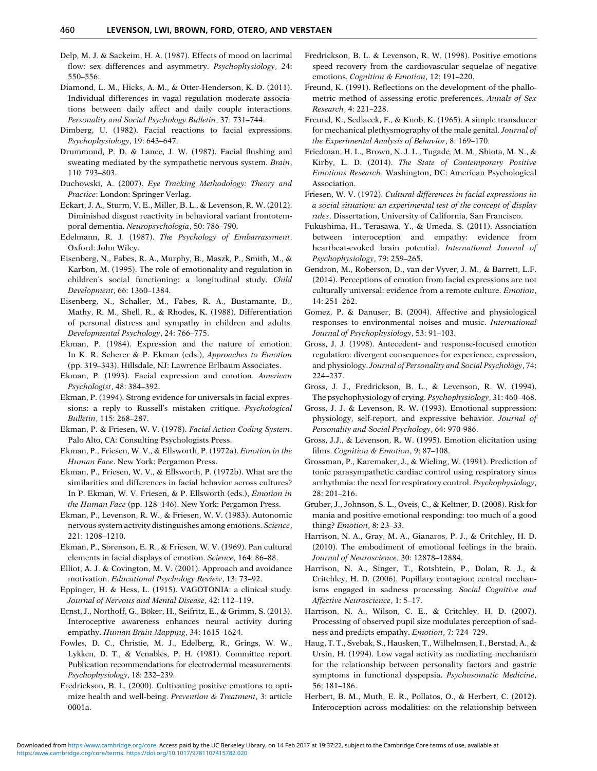- Delp, M. J. & Sackeim, H. A. (1987). Effects of mood on lacrimal flow: sex differences and asymmetry. *Psychophysiology*, 24: 550–556.
- Diamond, L. M., Hicks, A. M., & Otter-Henderson, K. D. (2011). Individual differences in vagal regulation moderate associations between daily affect and daily couple interactions. Personality and Social Psychology Bulletin, 37: 731–744.
- Dimberg, U. (1982). Facial reactions to facial expressions. Psychophysiology, 19: 643–647.
- Drummond, P. D. & Lance, J. W. (1987). Facial flushing and sweating mediated by the sympathetic nervous system. Brain, 110: 793–803.
- Duchowski, A. (2007). Eye Tracking Methodology: Theory and Practice: London: Springer Verlag.
- Eckart, J. A., Sturm, V. E., Miller, B. L., & Levenson, R. W. (2012). Diminished disgust reactivity in behavioral variant frontotemporal dementia. Neuropsychologia, 50: 786–790.
- Edelmann, R. J. (1987). The Psychology of Embarrassment. Oxford: John Wiley.
- Eisenberg, N., Fabes, R. A., Murphy, B., Maszk, P., Smith, M., & Karbon, M. (1995). The role of emotionality and regulation in children's social functioning: a longitudinal study. Child Development, 66: 1360–1384.
- Eisenberg, N., Schaller, M., Fabes, R. A., Bustamante, D., Mathy, R. M., Shell, R., & Rhodes, K. (1988). Differentiation of personal distress and sympathy in children and adults. Developmental Psychology, 24: 766–775.
- Ekman, P. (1984). Expression and the nature of emotion. In K. R. Scherer & P. Ekman (eds.), Approaches to Emotion (pp. 319–343). Hillsdale, NJ: Lawrence Erlbaum Associates.
- Ekman, P. (1993). Facial expression and emotion. American Psychologist, 48: 384–392.
- Ekman, P. (1994). Strong evidence for universals in facial expressions: a reply to Russell's mistaken critique. Psychological Bulletin, 115: 268–287.
- Ekman, P. & Friesen, W. V. (1978). Facial Action Coding System. Palo Alto, CA: Consulting Psychologists Press.
- Ekman, P., Friesen, W. V., & Ellsworth, P. (1972a). Emotion in the Human Face. New York: Pergamon Press.
- Ekman, P., Friesen, W. V., & Ellsworth, P. (1972b). What are the similarities and differences in facial behavior across cultures? In P. Ekman, W. V. Friesen, & P. Ellsworth (eds.), Emotion in the Human Face (pp. 128–146). New York: Pergamon Press.
- Ekman, P., Levenson, R. W., & Friesen, W. V. (1983). Autonomic nervous system activity distinguishes among emotions. Science, 221: 1208–1210.
- Ekman, P., Sorenson, E. R., & Friesen, W. V. (1969). Pan cultural elements in facial displays of emotion. Science, 164: 86–88.
- Elliot, A. J. & Covington, M. V. (2001). Approach and avoidance motivation. Educational Psychology Review, 13: 73–92.
- Eppinger, H. & Hess, L. (1915). VAGOTONIA: a clinical study. Journal of Nervous and Mental Disease, 42: 112–119.
- Ernst, J., Northoff, G., Böker, H., Seifritz, E., & Grimm, S. (2013). Interoceptive awareness enhances neural activity during empathy. Human Brain Mapping, 34: 1615–1624.
- Fowles, D. C., Christie, M. J., Edelberg, R., Grings, W. W., Lykken, D. T., & Venables, P. H. (1981). Committee report. Publication recommendations for electrodermal measurements. Psychophysiology, 18: 232–239.
- Fredrickson, B. L. (2000). Cultivating positive emotions to optimize health and well-being. Prevention & Treatment, 3: article 0001a.
- Fredrickson, B. L. & Levenson, R. W. (1998). Positive emotions speed recovery from the cardiovascular sequelae of negative emotions. Cognition & Emotion, 12: 191–220.
- Freund, K. (1991). Reflections on the development of the phallometric method of assessing erotic preferences. Annals of Sex Research, 4: 221–228.
- Freund, K., Sedlacek, F., & Knob, K. (1965). A simple transducer for mechanical plethysmography of the male genital. Journal of the Experimental Analysis of Behavior, 8: 169–170.
- Friedman, H. L., Brown, N. J. L., Tugade, M. M., Shiota, M. N., & Kirby, L. D. (2014). The State of Contemporary Positive Emotions Research. Washington, DC: American Psychological Association.
- Friesen, W. V. (1972). Cultural differences in facial expressions in a social situation: an experimental test of the concept of display rules. Dissertation, University of California, San Francisco.
- Fukushima, H., Terasawa, Y., & Umeda, S. (2011). Association between interoception and empathy: evidence from heartbeat-evoked brain potential. International Journal of Psychophysiology, 79: 259–265.
- Gendron, M., Roberson, D., van der Vyver, J. M., & Barrett, L.F. (2014). Perceptions of emotion from facial expressions are not culturally universal: evidence from a remote culture. Emotion, 14: 251–262.
- Gomez, P. & Danuser, B. (2004). Affective and physiological responses to environmental noises and music. International Journal of Psychophysiology, 53: 91–103.
- Gross, J. J. (1998). Antecedent- and response-focused emotion regulation: divergent consequences for experience, expression, and physiology. Journal of Personality and Social Psychology, 74: 224–237.
- Gross, J. J., Fredrickson, B. L., & Levenson, R. W. (1994). The psychophysiology of crying. Psychophysiology, 31: 460–468.
- Gross, J. J. & Levenson, R. W. (1993). Emotional suppression: physiology, self-report, and expressive behavior. Journal of Personality and Social Psychology, 64: 970-986.
- Gross, J.J., & Levenson, R. W. (1995). Emotion elicitation using films. Cognition & Emotion, 9: 87–108.
- Grossman, P., Karemaker, J., & Wieling, W. (1991). Prediction of tonic parasympathetic cardiac control using respiratory sinus arrhythmia: the need for respiratory control. Psychophysiology, 28: 201–216.
- Gruber, J., Johnson, S. L., Oveis, C., & Keltner, D. (2008). Risk for mania and positive emotional responding: too much of a good thing? Emotion, 8: 23–33.
- Harrison, N. A., Gray, M. A., Gianaros, P. J., & Critchley, H. D. (2010). The embodiment of emotional feelings in the brain. Journal of Neuroscience, 30: 12878–12884.
- Harrison, N. A., Singer, T., Rotshtein, P., Dolan, R. J., & Critchley, H. D. (2006). Pupillary contagion: central mechanisms engaged in sadness processing. Social Cognitive and Affective Neuroscience, 1: 5–17.
- Harrison, N. A., Wilson, C. E., & Critchley, H. D. (2007). Processing of observed pupil size modulates perception of sadness and predicts empathy. Emotion, 7: 724–729.
- Haug, T. T., Svebak, S., Hausken, T., Wilhelmsen, I., Berstad, A., & Ursin, H. (1994). Low vagal activity as mediating mechanism for the relationship between personality factors and gastric symptoms in functional dyspepsia. Psychosomatic Medicine, 56: 181–186.
- Herbert, B. M., Muth, E. R., Pollatos, O., & Herbert, C. (2012). Interoception across modalities: on the relationship between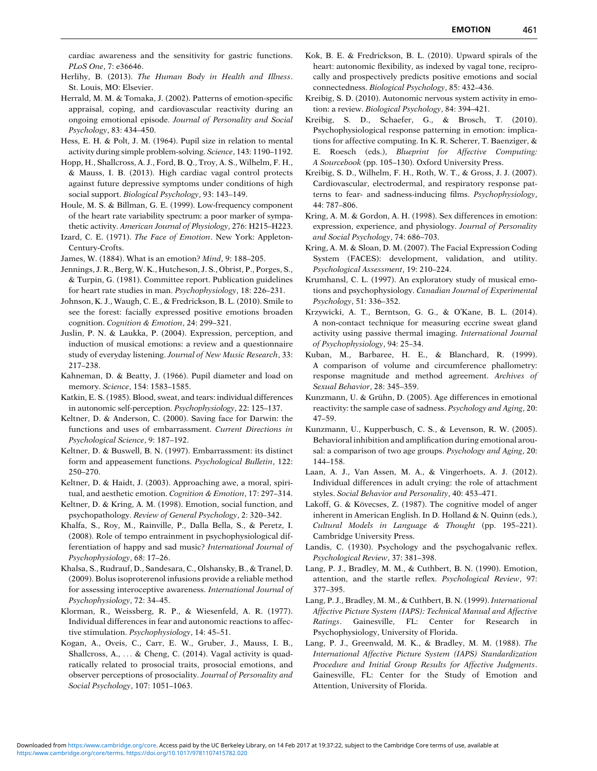cardiac awareness and the sensitivity for gastric functions. PLoS One, 7: e36646.

- Herlihy, B. (2013). The Human Body in Health and Illness. St. Louis, MO: Elsevier.
- Herrald, M. M. & Tomaka, J. (2002). Patterns of emotion-specific appraisal, coping, and cardiovascular reactivity during an ongoing emotional episode. Journal of Personality and Social Psychology, 83: 434–450.
- Hess, E. H. & Polt, J. M. (1964). Pupil size in relation to mental activity during simple problem-solving. Science, 143: 1190–1192.
- Hopp, H., Shallcross, A. J., Ford, B. Q., Troy, A. S., Wilhelm, F. H., & Mauss, I. B. (2013). High cardiac vagal control protects against future depressive symptoms under conditions of high social support. Biological Psychology, 93: 143–149.
- Houle, M. S. & Billman, G. E. (1999). Low-frequency component of the heart rate variability spectrum: a poor marker of sympathetic activity. American Journal of Physiology, 276: H215–H223.
- Izard, C. E. (1971). The Face of Emotion. New York: Appleton-Century-Crofts.
- James, W. (1884). What is an emotion? Mind, 9: 188–205.
- Jennings, J. R., Berg, W. K., Hutcheson, J. S., Obrist, P., Porges, S., & Turpin, G. (1981). Committee report. Publication guidelines for heart rate studies in man. Psychophysiology, 18: 226–231.
- Johnson, K. J., Waugh, C. E., & Fredrickson, B. L. (2010). Smile to see the forest: facially expressed positive emotions broaden cognition. Cognition & Emotion, 24: 299–321.
- Juslin, P. N. & Laukka, P. (2004). Expression, perception, and induction of musical emotions: a review and a questionnaire study of everyday listening. Journal of New Music Research, 33: 217–238.
- Kahneman, D. & Beatty, J. (1966). Pupil diameter and load on memory. Science, 154: 1583–1585.
- Katkin, E. S. (1985). Blood, sweat, and tears: individual differences in autonomic self‐perception. Psychophysiology, 22: 125–137.
- Keltner, D. & Anderson, C. (2000). Saving face for Darwin: the functions and uses of embarrassment. Current Directions in Psychological Science, 9: 187–192.
- Keltner, D. & Buswell, B. N. (1997). Embarrassment: its distinct form and appeasement functions. Psychological Bulletin, 122: 250–270.
- Keltner, D. & Haidt, J. (2003). Approaching awe, a moral, spiritual, and aesthetic emotion. Cognition & Emotion, 17: 297–314.
- Keltner, D. & Kring, A. M. (1998). Emotion, social function, and psychopathology. Review of General Psychology, 2: 320–342.
- Khalfa, S., Roy, M., Rainville, P., Dalla Bella, S., & Peretz, I. (2008). Role of tempo entrainment in psychophysiological differentiation of happy and sad music? International Journal of Psychophysiology, 68: 17–26.
- Khalsa, S., Rudrauf, D., Sandesara, C., Olshansky, B., & Tranel, D. (2009). Bolus isoproterenol infusions provide a reliable method for assessing interoceptive awareness. International Journal of Psychophysiology, 72: 34–45.
- Klorman, R., Weissberg, R. P., & Wiesenfeld, A. R. (1977). Individual differences in fear and autonomic reactions to affective stimulation. Psychophysiology, 14: 45–51.
- Kogan, A., Oveis, C., Carr, E. W., Gruber, J., Mauss, I. B., Shallcross, A., ... & Cheng, C. (2014). Vagal activity is quadratically related to prosocial traits, prosocial emotions, and observer perceptions of prosociality. Journal of Personality and Social Psychology, 107: 1051–1063.
- Kok, B. E. & Fredrickson, B. L. (2010). Upward spirals of the heart: autonomic flexibility, as indexed by vagal tone, reciprocally and prospectively predicts positive emotions and social connectedness. Biological Psychology, 85: 432–436.
- Kreibig, S. D. (2010). Autonomic nervous system activity in emotion: a review. Biological Psychology, 84: 394–421.
- Kreibig, S. D., Schaefer, G., & Brosch, T. (2010). Psychophysiological response patterning in emotion: implications for affective computing. In K. R. Scherer, T. Baenziger, & E. Roesch (eds.), Blueprint for Affective Computing: A Sourcebook (pp. 105–130). Oxford University Press.
- Kreibig, S. D., Wilhelm, F. H., Roth, W. T., & Gross, J. J. (2007). Cardiovascular, electrodermal, and respiratory response patterns to fear- and sadness-inducing films. Psychophysiology, 44: 787–806.
- Kring, A. M. & Gordon, A. H. (1998). Sex differences in emotion: expression, experience, and physiology. Journal of Personality and Social Psychology, 74: 686–703.
- Kring, A. M. & Sloan, D. M. (2007). The Facial Expression Coding System (FACES): development, validation, and utility. Psychological Assessment, 19: 210–224.
- Krumhansl, C. L. (1997). An exploratory study of musical emotions and psychophysiology. Canadian Journal of Experimental Psychology, 51: 336–352.
- Krzywicki, A. T., Berntson, G. G., & O'Kane, B. L. (2014). A non-contact technique for measuring eccrine sweat gland activity using passive thermal imaging. International Journal of Psychophysiology, 94: 25–34.
- Kuban, M., Barbaree, H. E., & Blanchard, R. (1999). A comparison of volume and circumference phallometry: response magnitude and method agreement. Archives of Sexual Behavior, 28: 345–359.
- Kunzmann, U. & Grühn, D. (2005). Age differences in emotional reactivity: the sample case of sadness. Psychology and Aging, 20: 47–59.
- Kunzmann, U., Kupperbusch, C. S., & Levenson, R. W. (2005). Behavioral inhibition and amplification during emotional arousal: a comparison of two age groups. Psychology and Aging, 20: 144–158.
- Laan, A. J., Van Assen, M. A., & Vingerhoets, A. J. (2012). Individual differences in adult crying: the role of attachment styles. Social Behavior and Personality, 40: 453–471.
- Lakoff, G. & Kövecses, Z. (1987). The cognitive model of anger inherent in American English. In D. Holland & N. Quinn (eds.), Cultural Models in Language & Thought (pp. 195–221). Cambridge University Press.
- Landis, C. (1930). Psychology and the psychogalvanic reflex. Psychological Review, 37: 381–398.
- Lang, P. J., Bradley, M. M., & Cuthbert, B. N. (1990). Emotion, attention, and the startle reflex. Psychological Review, 97: 377–395.
- Lang, P. J., Bradley, M. M., & Cuthbert, B. N. (1999). International Affective Picture System (IAPS): Technical Manual and Affective Ratings. Gainesville, FL: Center for Research in Psychophysiology, University of Florida.
- Lang, P. J., Greenwald, M. K., & Bradley, M. M. (1988). The International Affective Picture System (IAPS) Standardization Procedure and Initial Group Results for Affective Judgments. Gainesville, FL: Center for the Study of Emotion and Attention, University of Florida.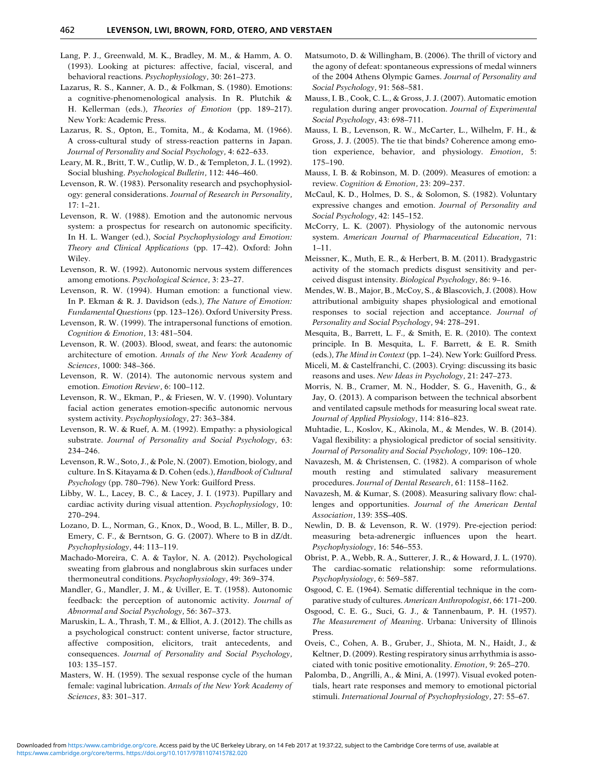- Lang, P. J., Greenwald, M. K., Bradley, M. M., & Hamm, A. O. (1993). Looking at pictures: affective, facial, visceral, and behavioral reactions. Psychophysiology, 30: 261–273.
- Lazarus, R. S., Kanner, A. D., & Folkman, S. (1980). Emotions: a cognitive-phenomenological analysis. In R. Plutchik & H. Kellerman (eds.), Theories of Emotion (pp. 189–217). New York: Academic Press.
- Lazarus, R. S., Opton, E., Tomita, M., & Kodama, M. (1966). A cross-cultural study of stress-reaction patterns in Japan. Journal of Personality and Social Psychology, 4: 622–633.
- Leary, M. R., Britt, T. W., Cutlip, W. D., & Templeton, J. L. (1992). Social blushing. Psychological Bulletin, 112: 446–460.
- Levenson, R. W. (1983). Personality research and psychophysiology: general considerations. Journal of Research in Personality, 17: 1–21.
- Levenson, R. W. (1988). Emotion and the autonomic nervous system: a prospectus for research on autonomic specificity. In H. L. Wanger (ed.), Social Psychophysiology and Emotion: Theory and Clinical Applications (pp. 17–42). Oxford: John Wiley.
- Levenson, R. W. (1992). Autonomic nervous system differences among emotions. Psychological Science, 3: 23–27.
- Levenson, R. W. (1994). Human emotion: a functional view. In P. Ekman & R. J. Davidson (eds.), The Nature of Emotion: Fundamental Questions (pp. 123–126). Oxford University Press.
- Levenson, R. W. (1999). The intrapersonal functions of emotion. Cognition & Emotion, 13: 481–504.
- Levenson, R. W. (2003). Blood, sweat, and fears: the autonomic architecture of emotion. Annals of the New York Academy of Sciences, 1000: 348–366.
- Levenson, R. W. (2014). The autonomic nervous system and emotion. Emotion Review, 6: 100–112.
- Levenson, R. W., Ekman, P., & Friesen, W. V. (1990). Voluntary facial action generates emotion-specific autonomic nervous system activity. Psychophysiology, 27: 363–384.
- Levenson, R. W. & Ruef, A. M. (1992). Empathy: a physiological substrate. Journal of Personality and Social Psychology, 63: 234–246.
- Levenson, R. W., Soto, J., & Pole, N. (2007). Emotion, biology, and culture. In S. Kitayama & D. Cohen (eds.), Handbook of Cultural Psychology (pp. 780–796). New York: Guilford Press.
- Libby, W. L., Lacey, B. C., & Lacey, J. I. (1973). Pupillary and cardiac activity during visual attention. Psychophysiology, 10: 270–294.
- Lozano, D. L., Norman, G., Knox, D., Wood, B. L., Miller, B. D., Emery, C. F., & Berntson, G. G. (2007). Where to B in dZ/dt. Psychophysiology, 44: 113–119.
- Machado-Moreira, C. A. & Taylor, N. A. (2012). Psychological sweating from glabrous and nonglabrous skin surfaces under thermoneutral conditions. Psychophysiology, 49: 369–374.
- Mandler, G., Mandler, J. M., & Uviller, E. T. (1958). Autonomic feedback: the perception of autonomic activity. Journal of Abnormal and Social Psychology, 56: 367–373.
- Maruskin, L. A., Thrash, T. M., & Elliot, A. J. (2012). The chills as a psychological construct: content universe, factor structure, affective composition, elicitors, trait antecedents, and consequences. Journal of Personality and Social Psychology, 103: 135–157.
- Masters, W. H. (1959). The sexual response cycle of the human female: vaginal lubrication. Annals of the New York Academy of Sciences, 83: 301–317.
- Matsumoto, D. & Willingham, B. (2006). The thrill of victory and the agony of defeat: spontaneous expressions of medal winners of the 2004 Athens Olympic Games. Journal of Personality and Social Psychology, 91: 568–581.
- Mauss, I. B., Cook, C. L., & Gross, J. J. (2007). Automatic emotion regulation during anger provocation. Journal of Experimental Social Psychology, 43: 698–711.
- Mauss, I. B., Levenson, R. W., McCarter, L., Wilhelm, F. H., & Gross, J. J. (2005). The tie that binds? Coherence among emotion experience, behavior, and physiology. Emotion, 5: 175–190.
- Mauss, I. B. & Robinson, M. D. (2009). Measures of emotion: a review. Cognition & Emotion, 23: 209–237.
- McCaul, K. D., Holmes, D. S., & Solomon, S. (1982). Voluntary expressive changes and emotion. Journal of Personality and Social Psychology, 42: 145–152.
- McCorry, L. K. (2007). Physiology of the autonomic nervous system. American Journal of Pharmaceutical Education, 71: 1–11.
- Meissner, K., Muth, E. R., & Herbert, B. M. (2011). Bradygastric activity of the stomach predicts disgust sensitivity and perceived disgust intensity. Biological Psychology, 86: 9–16.
- Mendes, W. B., Major, B., McCoy, S., & Blascovich, J. (2008). How attributional ambiguity shapes physiological and emotional responses to social rejection and acceptance. Journal of Personality and Social Psychology, 94: 278–291.
- Mesquita, B., Barrett, L. F., & Smith, E. R. (2010). The context principle. In B. Mesquita, L. F. Barrett, & E. R. Smith (eds.), The Mind in Context (pp. 1–24). New York: Guilford Press.
- Miceli, M. & Castelfranchi, C. (2003). Crying: discussing its basic reasons and uses. New Ideas in Psychology, 21: 247–273.
- Morris, N. B., Cramer, M. N., Hodder, S. G., Havenith, G., & Jay, O. (2013). A comparison between the technical absorbent and ventilated capsule methods for measuring local sweat rate. Journal of Applied Physiology, 114: 816–823.
- Muhtadie, L., Koslov, K., Akinola, M., & Mendes, W. B. (2014). Vagal flexibility: a physiological predictor of social sensitivity. Journal of Personality and Social Psychology, 109: 106–120.
- Navazesh, M. & Christensen, C. (1982). A comparison of whole mouth resting and stimulated salivary measurement procedures. Journal of Dental Research, 61: 1158–1162.
- Navazesh, M. & Kumar, S. (2008). Measuring salivary flow: challenges and opportunities. Journal of the American Dental Association, 139: 35S–40S.
- Newlin, D. B. & Levenson, R. W. (1979). Pre-ejection period: measuring beta-adrenergic influences upon the heart. Psychophysiology, 16: 546–553.
- Obrist, P. A., Webb, R. A., Sutterer, J. R., & Howard, J. L. (1970). The cardiac-somatic relationship: some reformulations. Psychophysiology, 6: 569–587.
- Osgood, C. E. (1964). Sematic differential technique in the comparative study of cultures. American Anthropologist, 66: 171–200.
- Osgood, C. E. G., Suci, G. J., & Tannenbaum, P. H. (1957). The Measurement of Meaning. Urbana: University of Illinois Press.
- Oveis, C., Cohen, A. B., Gruber, J., Shiota, M. N., Haidt, J., & Keltner, D. (2009). Resting respiratory sinus arrhythmia is associated with tonic positive emotionality. Emotion, 9: 265–270.
- Palomba, D., Angrilli, A., & Mini, A. (1997). Visual evoked potentials, heart rate responses and memory to emotional pictorial stimuli. International Journal of Psychophysiology, 27: 55–67.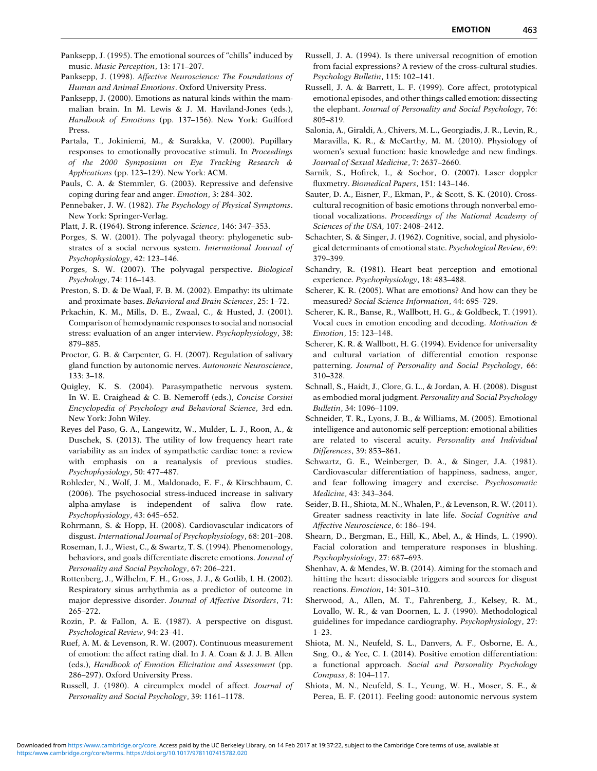- Panksepp, J. (1995). The emotional sources of "chills" induced by music. Music Perception, 13: 171–207.
- Panksepp, J. (1998). Affective Neuroscience: The Foundations of Human and Animal Emotions. Oxford University Press.
- Panksepp, J. (2000). Emotions as natural kinds within the mammalian brain. In M. Lewis & J. M. Haviland-Jones (eds.), Handbook of Emotions (pp. 137–156). New York: Guilford Press.
- Partala, T., Jokiniemi, M., & Surakka, V. (2000). Pupillary responses to emotionally provocative stimuli. In Proceedings of the 2000 Symposium on Eye Tracking Research & Applications (pp. 123–129). New York: ACM.
- Pauls, C. A. & Stemmler, G. (2003). Repressive and defensive coping during fear and anger. Emotion, 3: 284–302.
- Pennebaker, J. W. (1982). The Psychology of Physical Symptoms. New York: Springer-Verlag.
- Platt, J. R. (1964). Strong inference. Science, 146: 347–353.
- Porges, S. W. (2001). The polyvagal theory: phylogenetic substrates of a social nervous system. International Journal of Psychophysiology, 42: 123–146.
- Porges, S. W. (2007). The polyvagal perspective. Biological Psychology, 74: 116–143.
- Preston, S. D. & De Waal, F. B. M. (2002). Empathy: its ultimate and proximate bases. Behavioral and Brain Sciences, 25: 1–72.
- Prkachin, K. M., Mills, D. E., Zwaal, C., & Husted, J. (2001). Comparison of hemodynamic responses to social and nonsocial stress: evaluation of an anger interview. Psychophysiology, 38: 879–885.
- Proctor, G. B. & Carpenter, G. H. (2007). Regulation of salivary gland function by autonomic nerves. Autonomic Neuroscience, 133: 3–18.
- Quigley, K. S. (2004). Parasympathetic nervous system. In W. E. Craighead & C. B. Nemeroff (eds.), Concise Corsini Encyclopedia of Psychology and Behavioral Science, 3rd edn. New York: John Wiley.
- Reyes del Paso, G. A., Langewitz, W., Mulder, L. J., Roon, A., & Duschek, S. (2013). The utility of low frequency heart rate variability as an index of sympathetic cardiac tone: a review with emphasis on a reanalysis of previous studies. Psychophysiology, 50: 477–487.
- Rohleder, N., Wolf, J. M., Maldonado, E. F., & Kirschbaum, C. (2006). The psychosocial stress‐induced increase in salivary alpha‐amylase is independent of saliva flow rate. Psychophysiology, 43: 645–652.
- Rohrmann, S. & Hopp, H. (2008). Cardiovascular indicators of disgust. International Journal of Psychophysiology, 68: 201–208.
- Roseman, I. J., Wiest, C., & Swartz, T. S. (1994). Phenomenology, behaviors, and goals differentiate discrete emotions. Journal of Personality and Social Psychology, 67: 206–221.
- Rottenberg, J., Wilhelm, F. H., Gross, J. J., & Gotlib, I. H. (2002). Respiratory sinus arrhythmia as a predictor of outcome in major depressive disorder. Journal of Affective Disorders, 71: 265–272.
- Rozin, P. & Fallon, A. E. (1987). A perspective on disgust. Psychological Review, 94: 23–41.
- Ruef, A. M. & Levenson, R. W. (2007). Continuous measurement of emotion: the affect rating dial. In J. A. Coan & J. J. B. Allen (eds.), Handbook of Emotion Elicitation and Assessment (pp. 286–297). Oxford University Press.
- Russell, J. (1980). A circumplex model of affect. Journal of Personality and Social Psychology, 39: 1161–1178.
- Russell, J. A. (1994). Is there universal recognition of emotion from facial expressions? A review of the cross-cultural studies. Psychology Bulletin, 115: 102–141.
- Russell, J. A. & Barrett, L. F. (1999). Core affect, prototypical emotional episodes, and other things called emotion: dissecting the elephant. Journal of Personality and Social Psychology, 76: 805–819.
- Salonia, A., Giraldi, A., Chivers, M. L., Georgiadis, J. R., Levin, R., Maravilla, K. R., & McCarthy, M. M. (2010). Physiology of women's sexual function: basic knowledge and new findings. Journal of Sexual Medicine, 7: 2637–2660.
- Sarnik, S., Hofirek, I., & Sochor, O. (2007). Laser doppler fluxmetry. Biomedical Papers, 151: 143–146.
- Sauter, D. A., Eisner, F., Ekman, P., & Scott, S. K. (2010). Crosscultural recognition of basic emotions through nonverbal emotional vocalizations. Proceedings of the National Academy of Sciences of the USA, 107: 2408–2412.
- Schachter, S. & Singer, J. (1962). Cognitive, social, and physiological determinants of emotional state. Psychological Review, 69: 379–399.
- Schandry, R. (1981). Heart beat perception and emotional experience. Psychophysiology, 18: 483–488.
- Scherer, K. R. (2005). What are emotions? And how can they be measured? Social Science Information, 44: 695–729.
- Scherer, K. R., Banse, R., Wallbott, H. G., & Goldbeck, T. (1991). Vocal cues in emotion encoding and decoding. Motivation & Emotion, 15: 123–148.
- Scherer, K. R. & Wallbott, H. G. (1994). Evidence for universality and cultural variation of differential emotion response patterning. Journal of Personality and Social Psychology, 66: 310–328.
- Schnall, S., Haidt, J., Clore, G. L., & Jordan, A. H. (2008). Disgust as embodied moral judgment. Personality and Social Psychology Bulletin, 34: 1096–1109.
- Schneider, T. R., Lyons, J. B., & Williams, M. (2005). Emotional intelligence and autonomic self-perception: emotional abilities are related to visceral acuity. Personality and Individual Differences, 39: 853–861.
- Schwartz, G. E., Weinberger, D. A., & Singer, J.A. (1981). Cardiovascular differentiation of happiness, sadness, anger, and fear following imagery and exercise. Psychosomatic Medicine, 43: 343–364.
- Seider, B. H., Shiota, M. N., Whalen, P., & Levenson, R. W. (2011). Greater sadness reactivity in late life. Social Cognitive and Affective Neuroscience, 6: 186–194.
- Shearn, D., Bergman, E., Hill, K., Abel, A., & Hinds, L. (1990). Facial coloration and temperature responses in blushing. Psychophysiology, 27: 687–693.
- Shenhav, A. & Mendes, W. B. (2014). Aiming for the stomach and hitting the heart: dissociable triggers and sources for disgust reactions. Emotion, 14: 301–310.
- Sherwood, A., Allen, M. T., Fahrenberg, J., Kelsey, R. M., Lovallo, W. R., & van Doornen, L. J. (1990). Methodological guidelines for impedance cardiography. Psychophysiology, 27:  $1 - 23$ .
- Shiota, M. N., Neufeld, S. L., Danvers, A. F., Osborne, E. A., Sng, O., & Yee, C. I. (2014). Positive emotion differentiation: a functional approach. Social and Personality Psychology Compass, 8: 104–117.
- Shiota, M. N., Neufeld, S. L., Yeung, W. H., Moser, S. E., & Perea, E. F. (2011). Feeling good: autonomic nervous system